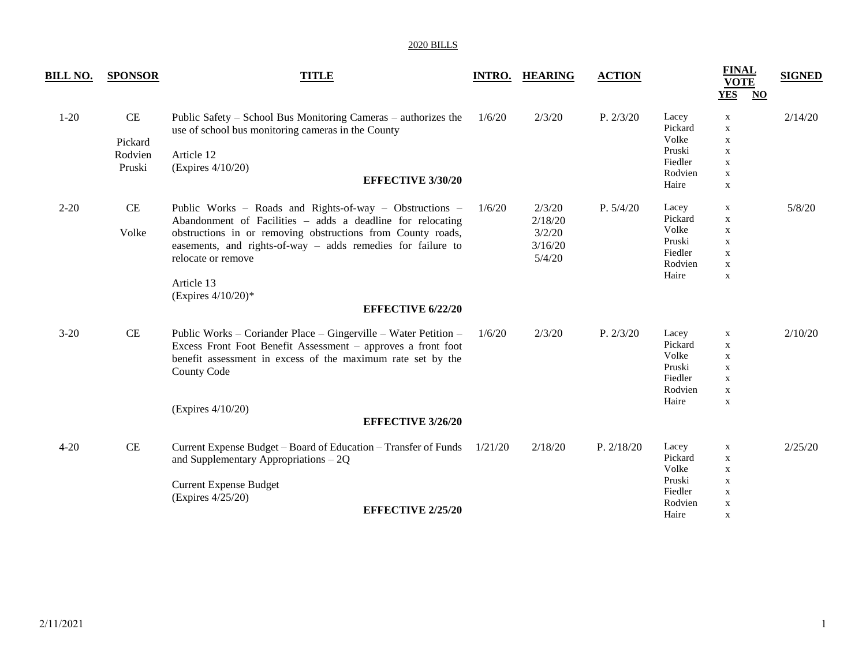| <b>BILL NO.</b> | <b>SPONSOR</b>                           | <b>TITLE</b>                                                                                                                                                                                                                                                                                                                                 | <b>INTRO.</b> | <b>HEARING</b>                                   | <b>ACTION</b> |                                                                    | <b>FINAL</b><br><b>VOTE</b><br><b>YES</b><br>$\underline{\mathbf{NO}}$                                | <b>SIGNED</b> |
|-----------------|------------------------------------------|----------------------------------------------------------------------------------------------------------------------------------------------------------------------------------------------------------------------------------------------------------------------------------------------------------------------------------------------|---------------|--------------------------------------------------|---------------|--------------------------------------------------------------------|-------------------------------------------------------------------------------------------------------|---------------|
| $1 - 20$        | $\rm CE$<br>Pickard<br>Rodvien<br>Pruski | Public Safety – School Bus Monitoring Cameras – authorizes the<br>use of school bus monitoring cameras in the County<br>Article 12<br>(Express 4/10/20)<br><b>EFFECTIVE 3/30/20</b>                                                                                                                                                          | 1/6/20        | 2/3/20                                           | P. 2/3/20     | Lacey<br>Pickard<br>Volke<br>Pruski<br>Fiedler<br>Rodvien<br>Haire | $\mathbf X$<br>$\mathbf X$<br>$\mathbf X$<br>$\mathbf X$<br>$\mathbf X$<br>$\mathbf X$<br>$\mathbf X$ | 2/14/20       |
| $2 - 20$        | $\rm CE$<br>Volke                        | Public Works – Roads and Rights-of-way – Obstructions –<br>Abandonment of Facilities – adds a deadline for relocating<br>obstructions in or removing obstructions from County roads,<br>easements, and rights-of-way - adds remedies for failure to<br>relocate or remove<br>Article 13<br>(Expires $4/10/20$ )*<br><b>EFFECTIVE 6/22/20</b> | 1/6/20        | 2/3/20<br>2/18/20<br>3/2/20<br>3/16/20<br>5/4/20 | P. 5/4/20     | Lacey<br>Pickard<br>Volke<br>Pruski<br>Fiedler<br>Rodvien<br>Haire | X<br>X<br>$\mathbf X$<br>$\mathbf X$<br>$\mathbf X$<br>$\mathbf X$<br>$\mathbf X$                     | 5/8/20        |
| $3 - 20$        | $\rm CE$                                 | Public Works – Coriander Place – Gingerville – Water Petition –<br>Excess Front Foot Benefit Assessment - approves a front foot<br>benefit assessment in excess of the maximum rate set by the<br><b>County Code</b><br>(Expires 4/10/20)<br><b>EFFECTIVE 3/26/20</b>                                                                        | 1/6/20        | 2/3/20                                           | P. 2/3/20     | Lacey<br>Pickard<br>Volke<br>Pruski<br>Fiedler<br>Rodvien<br>Haire | $\mathbf X$<br>$\mathbf X$<br>$\mathbf X$<br>$\mathbf X$<br>$\mathbf X$<br>$\mathbf X$<br>$\mathbf X$ | 2/10/20       |
| $4 - 20$        | $\rm CE$                                 | Current Expense Budget – Board of Education – Transfer of Funds<br>and Supplementary Appropriations $-2Q$<br><b>Current Expense Budget</b><br>(Expires 4/25/20)<br><b>EFFECTIVE 2/25/20</b>                                                                                                                                                  | 1/21/20       | 2/18/20                                          | P. 2/18/20    | Lacey<br>Pickard<br>Volke<br>Pruski<br>Fiedler<br>Rodvien<br>Haire | X<br>$\mathbf X$<br>$\mathbf X$<br>X<br>X<br>$\mathbf X$<br>X                                         | 2/25/20       |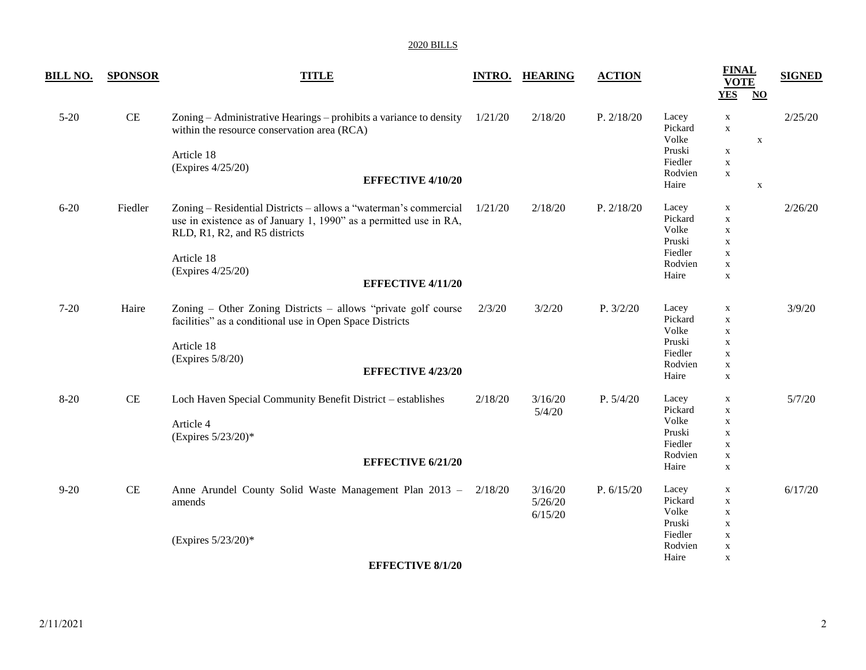| <u>BILL NO.</u> | <b>SPONSOR</b> | <b>TITLE</b>                                                                                                      | <b>INTRO.</b> | <b>HEARING</b> | <b>ACTION</b> |                           | <b>FINAL</b><br><b>VOTE</b><br><b>YES</b> | $\overline{\text{NO}}$    | <b>SIGNED</b> |
|-----------------|----------------|-------------------------------------------------------------------------------------------------------------------|---------------|----------------|---------------|---------------------------|-------------------------------------------|---------------------------|---------------|
| $5 - 20$        | $\!$ $\!$ $\!$ | Zoning - Administrative Hearings - prohibits a variance to density<br>within the resource conservation area (RCA) | 1/21/20       | 2/18/20        | P. 2/18/20    | Lacey<br>Pickard<br>Volke | $\mathbf X$<br>$\mathbf X$                | $\boldsymbol{\mathrm{X}}$ | 2/25/20       |
|                 |                | Article 18                                                                                                        |               |                |               | Pruski                    | $\mathbf X$                               |                           |               |
|                 |                | (Expires 4/25/20)                                                                                                 |               |                |               | Fiedler                   | $\mathbf X$                               |                           |               |
|                 |                | <b>EFFECTIVE 4/10/20</b>                                                                                          |               |                |               | Rodvien                   | $\mathbf X$                               |                           |               |
|                 |                |                                                                                                                   |               |                |               | Haire                     |                                           | $\mathbf X$               |               |
| $6 - 20$        | Fiedler        | Zoning - Residential Districts - allows a "waterman's commercial                                                  | 1/21/20       | 2/18/20        | P. 2/18/20    | Lacey                     | $\mathbf X$                               |                           | 2/26/20       |
|                 |                | use in existence as of January 1, 1990" as a permitted use in RA,                                                 |               |                |               | Pickard                   | $\mathbf X$                               |                           |               |
|                 |                | RLD, R1, R2, and R5 districts                                                                                     |               |                |               | Volke                     | $\mathbf X$                               |                           |               |
|                 |                |                                                                                                                   |               |                |               | Pruski<br>Fiedler         | $\mathbf X$                               |                           |               |
|                 |                | Article 18                                                                                                        |               |                |               | Rodvien                   | $\mathbf X$<br>$\mathbf X$                |                           |               |
|                 |                | (Expires 4/25/20)                                                                                                 |               |                |               | Haire                     | $\mathbf X$                               |                           |               |
|                 |                | <b>EFFECTIVE 4/11/20</b>                                                                                          |               |                |               |                           |                                           |                           |               |
| $7 - 20$        | Haire          | Zoning - Other Zoning Districts - allows "private golf course"                                                    | 2/3/20        | 3/2/20         | P. 3/2/20     | Lacey                     | $\mathbf X$                               |                           | 3/9/20        |
|                 |                | facilities" as a conditional use in Open Space Districts                                                          |               |                |               | Pickard                   | $\mathbf X$                               |                           |               |
|                 |                |                                                                                                                   |               |                |               | Volke                     | $\mathbf X$                               |                           |               |
|                 |                | Article 18                                                                                                        |               |                |               | Pruski                    | $\mathbf X$                               |                           |               |
|                 |                | (Expires 5/8/20)                                                                                                  |               |                |               | Fiedler                   | $\mathbf X$                               |                           |               |
|                 |                | <b>EFFECTIVE 4/23/20</b>                                                                                          |               |                |               | Rodvien                   | $\mathbf X$                               |                           |               |
|                 |                |                                                                                                                   |               |                |               | Haire                     | $\mathbf X$                               |                           |               |
| $8 - 20$        | $\rm CE$       | Loch Haven Special Community Benefit District - establishes                                                       | 2/18/20       | 3/16/20        | P. 5/4/20     | Lacey                     | $\mathbf X$                               |                           | 5/7/20        |
|                 |                |                                                                                                                   |               | 5/4/20         |               | Pickard                   | $\mathbf X$                               |                           |               |
|                 |                | Article 4                                                                                                         |               |                |               | Volke                     | $\mathbf X$                               |                           |               |
|                 |                | (Expires 5/23/20)*                                                                                                |               |                |               | Pruski                    | $\mathbf X$                               |                           |               |
|                 |                |                                                                                                                   |               |                |               | Fiedler                   | $\mathbf X$                               |                           |               |
|                 |                | <b>EFFECTIVE 6/21/20</b>                                                                                          |               |                |               | Rodvien                   | $\mathbf X$                               |                           |               |
|                 |                |                                                                                                                   |               |                |               | Haire                     | $\mathbf X$                               |                           |               |
| $9 - 20$        | $\rm CE$       | Anne Arundel County Solid Waste Management Plan 2013 - 2/18/20                                                    |               | 3/16/20        | P. 6/15/20    | Lacey                     | X                                         |                           | 6/17/20       |
|                 |                | amends                                                                                                            |               | 5/26/20        |               | Pickard                   | $\mathbf X$                               |                           |               |
|                 |                |                                                                                                                   |               | 6/15/20        |               | Volke                     | $\mathbf X$                               |                           |               |
|                 |                |                                                                                                                   |               |                |               | Pruski                    | $\mathbf X$                               |                           |               |
|                 |                | (Expires 5/23/20)*                                                                                                |               |                |               | Fiedler                   | $\mathbf X$                               |                           |               |
|                 |                |                                                                                                                   |               |                |               | Rodvien                   | $\mathbf X$                               |                           |               |
|                 |                | <b>EFFECTIVE 8/1/20</b>                                                                                           |               |                |               | Haire                     | $\mathbf X$                               |                           |               |
|                 |                |                                                                                                                   |               |                |               |                           |                                           |                           |               |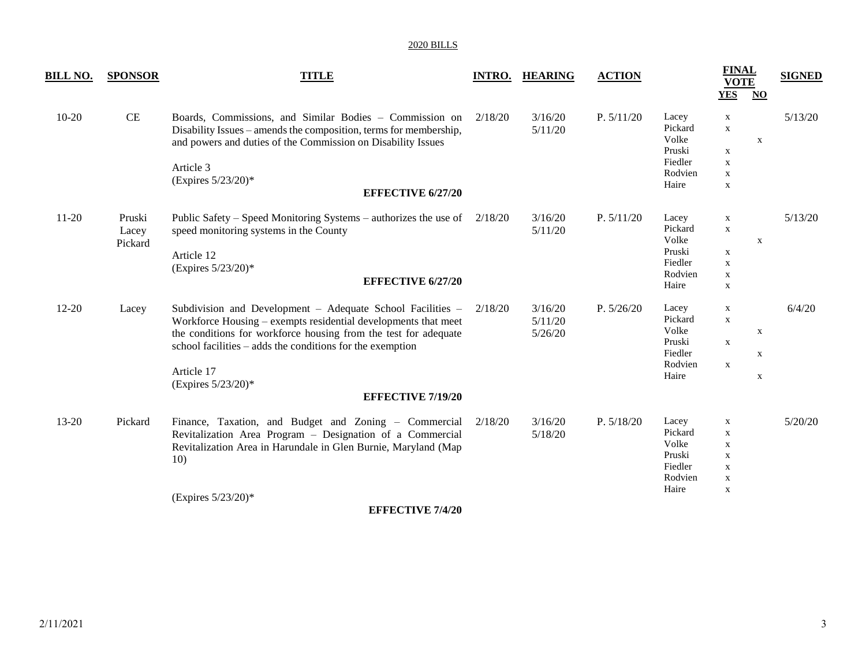| <b>BILL NO.</b> | <b>SPONSOR</b>             | <b>TITLE</b>                                                                                                                                                                                                                                                                                                                 | <b>INTRO.</b> | <b>HEARING</b>                | <b>ACTION</b> |                                                                    | <b>FINAL</b><br><b>VOTE</b><br><b>YES</b>                                                             | $\overline{NQ}$ | <b>SIGNED</b> |
|-----------------|----------------------------|------------------------------------------------------------------------------------------------------------------------------------------------------------------------------------------------------------------------------------------------------------------------------------------------------------------------------|---------------|-------------------------------|---------------|--------------------------------------------------------------------|-------------------------------------------------------------------------------------------------------|-----------------|---------------|
| $10-20$         | CE                         | Boards, Commissions, and Similar Bodies - Commission on<br>Disability Issues – amends the composition, terms for membership,<br>and powers and duties of the Commission on Disability Issues<br>Article 3<br>(Expires 5/23/20)*<br><b>EFFECTIVE 6/27/20</b>                                                                  | 2/18/20       | 3/16/20<br>5/11/20            | P. 5/11/20    | Lacey<br>Pickard<br>Volke<br>Pruski<br>Fiedler<br>Rodvien<br>Haire | $\mathbf X$<br>$\mathbf X$<br>$\mathbf X$<br>$\mathbf X$<br>$\mathbf X$<br>$\mathbf X$                | $\mathbf X$     | 5/13/20       |
| $11-20$         | Pruski<br>Lacey<br>Pickard | Public Safety – Speed Monitoring Systems – authorizes the use of $2/18/20$<br>speed monitoring systems in the County<br>Article 12<br>(Expires 5/23/20)*<br><b>EFFECTIVE 6/27/20</b>                                                                                                                                         |               | 3/16/20<br>5/11/20            | P. 5/11/20    | Lacey<br>Pickard<br>Volke<br>Pruski<br>Fiedler<br>Rodvien<br>Haire | $\mathbf X$<br>$\mathbf X$<br>X<br>$\mathbf X$<br>$\mathbf X$<br>$\mathbf X$                          | $\mathbf X$     | 5/13/20       |
| $12 - 20$       | Lacey                      | Subdivision and Development – Adequate School Facilities –<br>Workforce Housing – exempts residential developments that meet<br>the conditions for workforce housing from the test for adequate<br>school facilities – adds the conditions for the exemption<br>Article 17<br>(Expires 5/23/20)*<br><b>EFFECTIVE 7/19/20</b> | 2/18/20       | 3/16/20<br>5/11/20<br>5/26/20 | P. 5/26/20    | Lacey<br>Pickard<br>Volke<br>Pruski<br>Fiedler<br>Rodvien<br>Haire | $\mathbf X$<br>$\mathbf X$<br>$\mathbf X$<br>$\mathbf X$                                              | X<br>X<br>X     | 6/4/20        |
| 13-20           | Pickard                    | Finance, Taxation, and Budget and Zoning - Commercial<br>Revitalization Area Program - Designation of a Commercial<br>Revitalization Area in Harundale in Glen Burnie, Maryland (Map<br>10)<br>(Expires 5/23/20)*<br><b>EFFECTIVE 7/4/20</b>                                                                                 | 2/18/20       | 3/16/20<br>5/18/20            | P. 5/18/20    | Lacey<br>Pickard<br>Volke<br>Pruski<br>Fiedler<br>Rodvien<br>Haire | $\mathbf X$<br>$\mathbf X$<br>$\mathbf X$<br>$\mathbf X$<br>$\mathbf X$<br>$\mathbf X$<br>$\mathbf X$ |                 | 5/20/20       |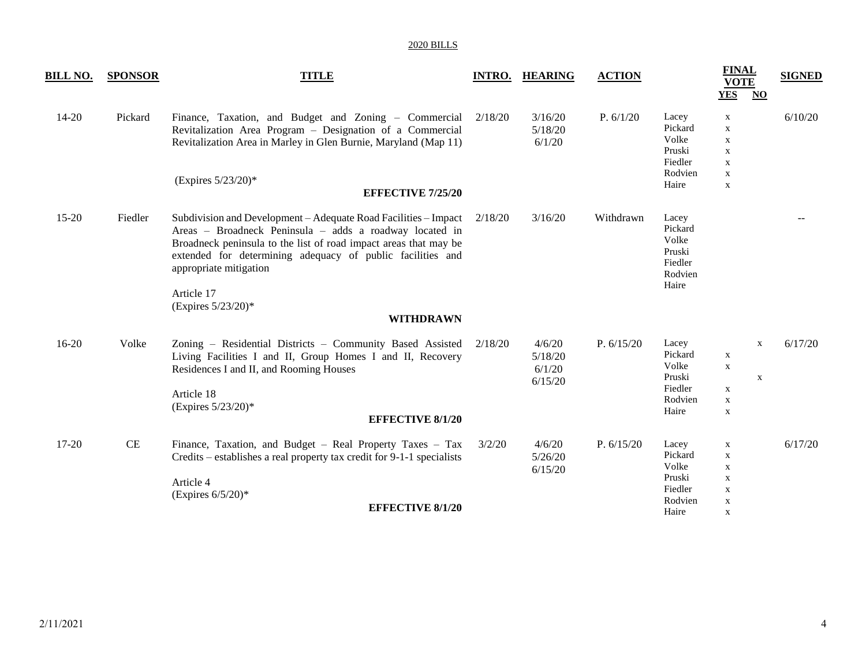| <b>BILL NO.</b> | <b>SPONSOR</b> | <b>TITLE</b>                                                                                                                                                                                                                                                                                                               | <b>INTRO.</b> | <b>HEARING</b>                         | <b>ACTION</b> |                                                                    | <b>FINAL</b><br><b>VOTE</b><br><b>YES</b>                                                             | $\underline{\mathrm{NO}}$                              | <b>SIGNED</b> |
|-----------------|----------------|----------------------------------------------------------------------------------------------------------------------------------------------------------------------------------------------------------------------------------------------------------------------------------------------------------------------------|---------------|----------------------------------------|---------------|--------------------------------------------------------------------|-------------------------------------------------------------------------------------------------------|--------------------------------------------------------|---------------|
| 14-20           | Pickard        | Finance, Taxation, and Budget and Zoning – Commercial 2/18/20<br>Revitalization Area Program - Designation of a Commercial<br>Revitalization Area in Marley in Glen Burnie, Maryland (Map 11)<br>(Expires 5/23/20)*<br><b>EFFECTIVE 7/25/20</b>                                                                            |               | 3/16/20<br>5/18/20<br>6/1/20           | P. 6/1/20     | Lacey<br>Pickard<br>Volke<br>Pruski<br>Fiedler<br>Rodvien<br>Haire | $\mathbf X$<br>$\mathbf X$<br>$\mathbf X$<br>$\mathbf X$<br>$\mathbf X$<br>$\mathbf X$<br>$\mathbf X$ |                                                        | 6/10/20       |
| 15-20           | Fiedler        | Subdivision and Development – Adequate Road Facilities – Impact<br>Areas - Broadneck Peninsula - adds a roadway located in<br>Broadneck peninsula to the list of road impact areas that may be<br>extended for determining adequacy of public facilities and<br>appropriate mitigation<br>Article 17<br>(Expires 5/23/20)* | 2/18/20       | 3/16/20                                | Withdrawn     | Lacey<br>Pickard<br>Volke<br>Pruski<br>Fiedler<br>Rodvien<br>Haire |                                                                                                       |                                                        |               |
|                 |                | <b>WITHDRAWN</b>                                                                                                                                                                                                                                                                                                           |               |                                        |               |                                                                    |                                                                                                       |                                                        |               |
| $16-20$         | Volke          | Zoning – Residential Districts – Community Based Assisted<br>Living Facilities I and II, Group Homes I and II, Recovery<br>Residences I and II, and Rooming Houses<br>Article 18<br>(Expires 5/23/20)*<br><b>EFFECTIVE 8/1/20</b>                                                                                          | 2/18/20       | 4/6/20<br>5/18/20<br>6/1/20<br>6/15/20 | P. 6/15/20    | Lacey<br>Pickard<br>Volke<br>Pruski<br>Fiedler<br>Rodvien<br>Haire | $\mathbf X$<br>$\mathbf X$<br>$\mathbf X$<br>$\mathbf X$<br>$\mathbf X$                               | $\boldsymbol{\mathrm{X}}$<br>$\boldsymbol{\mathrm{X}}$ | 6/17/20       |
| 17-20           | $\rm CE$       | Finance, Taxation, and Budget - Real Property Taxes - Tax<br>Credits – establishes a real property tax credit for 9-1-1 specialists<br>Article 4<br>(Expires $6/5/20$ )*<br><b>EFFECTIVE 8/1/20</b>                                                                                                                        | 3/2/20        | 4/6/20<br>5/26/20<br>6/15/20           | P. $6/15/20$  | Lacey<br>Pickard<br>Volke<br>Pruski<br>Fiedler<br>Rodvien<br>Haire | $\mathbf X$<br>$\mathbf X$<br>X<br>$\mathbf X$<br>$\mathbf X$<br>$\mathbf X$<br>X                     |                                                        | 6/17/20       |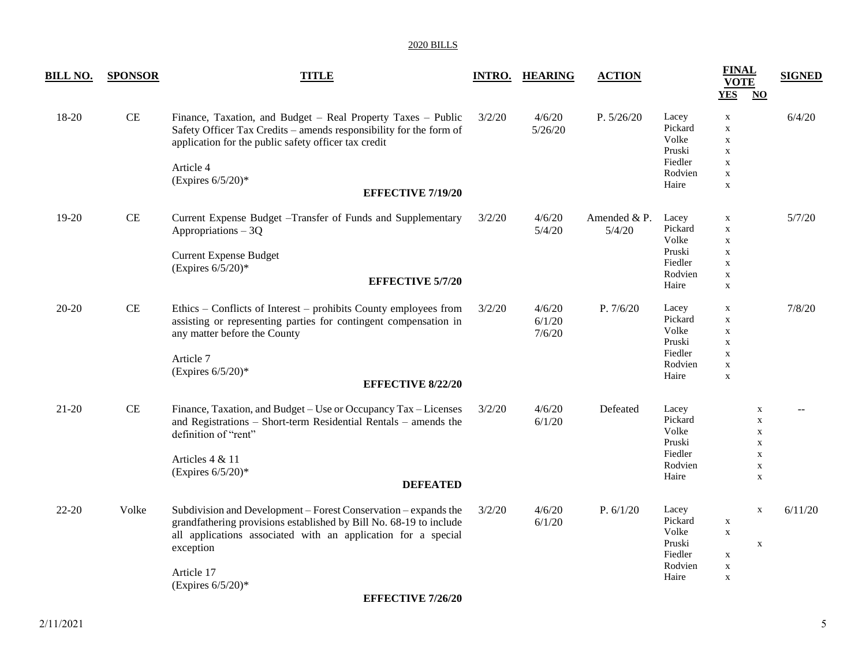| <u>BILL NO.</u> | <b>SPONSOR</b> | <b>TITLE</b>                                                                                                                                                                                                                                                                          |        | <b>INTRO. HEARING</b>      | <b>ACTION</b>           |                                                                    | <b>FINAL</b><br><b>VOTE</b><br><b>YES</b><br>$\overline{\mathbf{N}}$                                  | <b>SIGNED</b> |
|-----------------|----------------|---------------------------------------------------------------------------------------------------------------------------------------------------------------------------------------------------------------------------------------------------------------------------------------|--------|----------------------------|-------------------------|--------------------------------------------------------------------|-------------------------------------------------------------------------------------------------------|---------------|
| 18-20           | $\rm CE$       | Finance, Taxation, and Budget - Real Property Taxes - Public<br>Safety Officer Tax Credits - amends responsibility for the form of<br>application for the public safety officer tax credit<br>Article 4<br>(Expires $6/5/20$ )*<br><b>EFFECTIVE 7/19/20</b>                           | 3/2/20 | 4/6/20<br>5/26/20          | P. 5/26/20              | Lacey<br>Pickard<br>Volke<br>Pruski<br>Fiedler<br>Rodvien<br>Haire | $\mathbf X$<br>$\mathbf X$<br>$\mathbf X$<br>$\mathbf X$<br>$\mathbf X$<br>$\mathbf X$<br>$\mathbf X$ | 6/4/20        |
| 19-20           | $\rm CE$       | Current Expense Budget - Transfer of Funds and Supplementary<br>Appropriations $-3Q$<br><b>Current Expense Budget</b><br>(Expires $6/5/20$ )*<br><b>EFFECTIVE 5/7/20</b>                                                                                                              | 3/2/20 | 4/6/20<br>5/4/20           | Amended $&P.$<br>5/4/20 | Lacey<br>Pickard<br>Volke<br>Pruski<br>Fiedler<br>Rodvien<br>Haire | $\mathbf X$<br>$\mathbf X$<br>$\mathbf X$<br>$\mathbf X$<br>$\mathbf X$<br>$\mathbf X$<br>$\mathbf X$ | 5/7/20        |
| $20 - 20$       | $\rm CE$       | Ethics – Conflicts of Interest – prohibits County employees from<br>assisting or representing parties for contingent compensation in<br>any matter before the County<br>Article 7<br>(Expires $6/5/20$ )*<br><b>EFFECTIVE 8/22/20</b>                                                 | 3/2/20 | 4/6/20<br>6/1/20<br>7/6/20 | P. 7/6/20               | Lacey<br>Pickard<br>Volke<br>Pruski<br>Fiedler<br>Rodvien<br>Haire | X<br>$\mathbf X$<br>$\mathbf X$<br>$\mathbf X$<br>$\mathbf X$<br>$\mathbf X$<br>$\mathbf X$           | 7/8/20        |
| $21 - 20$       | $\rm CE$       | Finance, Taxation, and Budget - Use or Occupancy Tax - Licenses<br>and Registrations - Short-term Residential Rentals - amends the<br>definition of "rent"<br>Articles 4 & 11<br>(Expires $6/5/20$ )*<br><b>DEFEATED</b>                                                              | 3/2/20 | 4/6/20<br>6/1/20           | Defeated                | Lacey<br>Pickard<br>Volke<br>Pruski<br>Fiedler<br>Rodvien<br>Haire | X<br>$\mathbf X$<br>X<br>$\mathbf X$<br>$\mathbf X$<br>$\mathbf X$<br>$\mathbf X$                     |               |
| 22-20           | Volke          | Subdivision and Development - Forest Conservation - expands the<br>grandfathering provisions established by Bill No. 68-19 to include<br>all applications associated with an application for a special<br>exception<br>Article 17<br>(Expires $6/5/20$ )*<br><b>EFFECTIVE 7/26/20</b> | 3/2/20 | 4/6/20<br>6/1/20           | P. 6/1/20               | Lacey<br>Pickard<br>Volke<br>Pruski<br>Fiedler<br>Rodvien<br>Haire | $\mathbf X$<br>$\mathbf X$<br>$\mathbf X$<br>$\mathbf X$<br>$\mathbf X$<br>$\mathbf X$<br>$\mathbf X$ | 6/11/20       |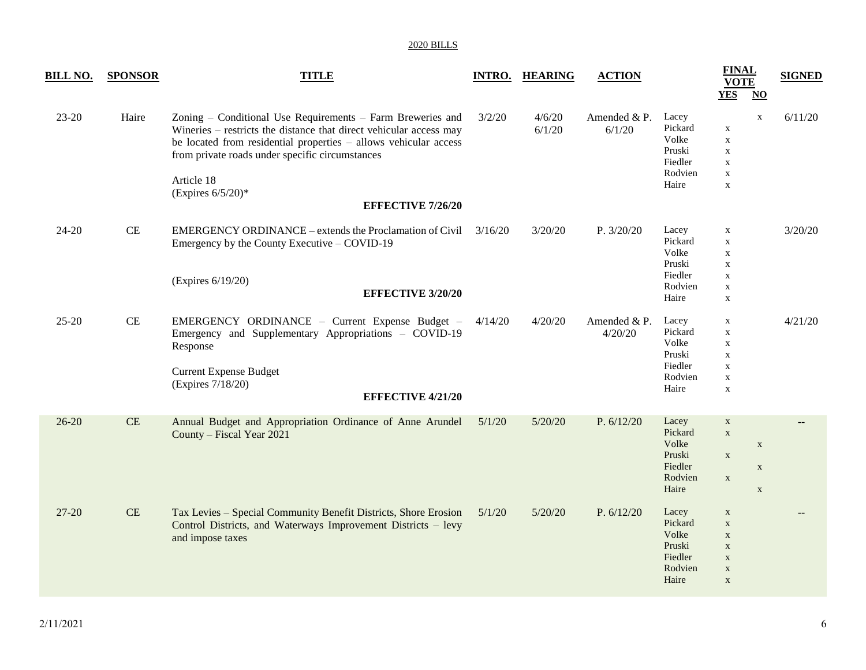| <u>BILL NO.</u> | <b>SPONSOR</b> | <b>TITLE</b>                                                                                                                                                                                                                                                                                                              |         | <b>INTRO. HEARING</b> | <b>ACTION</b>           |                                                                    | <b>FINAL</b><br><b>VOTE</b><br><b>YES</b>                                                             | $\underline{\mathrm{NO}}$                 | <b>SIGNED</b> |
|-----------------|----------------|---------------------------------------------------------------------------------------------------------------------------------------------------------------------------------------------------------------------------------------------------------------------------------------------------------------------------|---------|-----------------------|-------------------------|--------------------------------------------------------------------|-------------------------------------------------------------------------------------------------------|-------------------------------------------|---------------|
| $23 - 20$       | Haire          | Zoning – Conditional Use Requirements – Farm Breweries and<br>Wineries – restricts the distance that direct vehicular access may<br>be located from residential properties - allows vehicular access<br>from private roads under specific circumstances<br>Article 18<br>(Expires $6/5/20$ )*<br><b>EFFECTIVE 7/26/20</b> | 3/2/20  | 4/6/20<br>6/1/20      | Amended $&P.$<br>6/1/20 | Lacey<br>Pickard<br>Volke<br>Pruski<br>Fiedler<br>Rodvien<br>Haire | $\mathbf X$<br>$\mathbf X$<br>$\mathbf X$<br>$\mathbf X$<br>$\mathbf X$<br>$\mathbf X$                | $\mathbf X$                               | 6/11/20       |
| 24-20           | $\!$ $\!$      | EMERGENCY ORDINANCE – extends the Proclamation of Civil 3/16/20<br>Emergency by the County Executive – COVID-19<br>(Expires 6/19/20)<br><b>EFFECTIVE 3/20/20</b>                                                                                                                                                          |         | 3/20/20               | P. 3/20/20              | Lacey<br>Pickard<br>Volke<br>Pruski<br>Fiedler<br>Rodvien<br>Haire | $\mathbf X$<br>$\mathbf X$<br>$\mathbf X$<br>$\mathbf X$<br>$\mathbf X$<br>$\mathbf X$<br>$\mathbf X$ |                                           | 3/20/20       |
| $25 - 20$       | $\rm CE$       | EMERGENCY ORDINANCE - Current Expense Budget -<br>Emergency and Supplementary Appropriations - COVID-19<br>Response<br><b>Current Expense Budget</b><br>(Expires 7/18/20)<br><b>EFFECTIVE 4/21/20</b>                                                                                                                     | 4/14/20 | 4/20/20               | Amended & P.<br>4/20/20 | Lacey<br>Pickard<br>Volke<br>Pruski<br>Fiedler<br>Rodvien<br>Haire | $\mathbf X$<br>$\mathbf X$<br>$\mathbf X$<br>$\mathbf X$<br>$\mathbf X$<br>$\mathbf X$<br>$\mathbf X$ |                                           | 4/21/20       |
| $26 - 20$       | CE             | Annual Budget and Appropriation Ordinance of Anne Arundel<br>County - Fiscal Year 2021                                                                                                                                                                                                                                    | 5/1/20  | 5/20/20               | P. $6/12/20$            | Lacey<br>Pickard<br>Volke<br>Pruski<br>Fiedler<br>Rodvien<br>Haire | $\mathbf X$<br>$\mathbf X$<br>$\mathbf X$<br>$\mathbf X$                                              | $\mathbf X$<br>$\mathbf X$<br>$\mathbf X$ |               |
| $27 - 20$       | CE             | Tax Levies - Special Community Benefit Districts, Shore Erosion<br>Control Districts, and Waterways Improvement Districts - levy<br>and impose taxes                                                                                                                                                                      | 5/1/20  | 5/20/20               | P. $6/12/20$            | Lacey<br>Pickard<br>Volke<br>Pruski<br>Fiedler<br>Rodvien<br>Haire | $\mathbf X$<br>$\mathbf X$<br>$\mathbf X$<br>$\mathbf X$<br>$\mathbf X$<br>$\mathbf X$<br>$\mathbf X$ |                                           |               |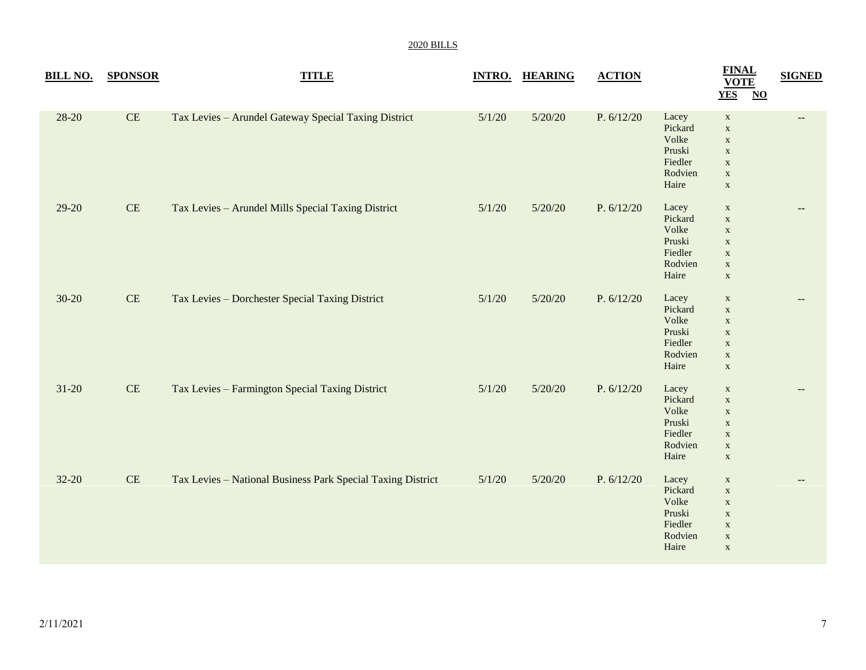| <b>BILL NO.</b> | <b>SPONSOR</b> | <b>TITLE</b>                                                |        | <b>INTRO. HEARING</b> | <b>ACTION</b> |                                                                    | <b>FINAL</b><br><b>VOTE</b><br><b>YES</b><br>$\overline{\text{NO}}$                                   | <b>SIGNED</b>     |
|-----------------|----------------|-------------------------------------------------------------|--------|-----------------------|---------------|--------------------------------------------------------------------|-------------------------------------------------------------------------------------------------------|-------------------|
| $28 - 20$       | CE             | Tax Levies - Arundel Gateway Special Taxing District        | 5/1/20 | 5/20/20               | P. $6/12/20$  | Lacey<br>Pickard<br>Volke<br>Pruski<br>Fiedler<br>Rodvien<br>Haire | $\mathbf X$<br>$\mathbf X$<br>$\mathbf X$<br>$\mathbf X$<br>$\mathbf X$<br>$\mathbf X$<br>$\mathbf X$ | $- -$             |
| 29-20           | CE             | Tax Levies - Arundel Mills Special Taxing District          | 5/1/20 | 5/20/20               | P. $6/12/20$  | Lacey<br>Pickard<br>Volke<br>Pruski<br>Fiedler<br>Rodvien<br>Haire | $\mathbf X$<br>$\mathbf X$<br>$\mathbf X$<br>$\mathbf X$<br>$\mathbf X$<br>$\mathbf X$<br>$\mathbf X$ |                   |
| $30 - 20$       | CE             | Tax Levies - Dorchester Special Taxing District             | 5/1/20 | 5/20/20               | P. $6/12/20$  | Lacey<br>Pickard<br>Volke<br>Pruski<br>Fiedler<br>Rodvien<br>Haire | $\mathbf X$<br>$\mathbf X$<br>$\mathbf X$<br>$\mathbf X$<br>$\mathbf X$<br>$\mathbf X$<br>$\mathbf X$ |                   |
| $31 - 20$       | CE             | Tax Levies - Farmington Special Taxing District             | 5/1/20 | 5/20/20               | P. $6/12/20$  | Lacey<br>Pickard<br>Volke<br>Pruski<br>Fiedler<br>Rodvien<br>Haire | $\mathbf X$<br>$\mathbf X$<br>$\mathbf X$<br>$\mathbf X$<br>$\mathbf X$<br>$\mathbf X$<br>$\mathbf X$ | $\qquad \qquad -$ |
| $32 - 20$       | CE             | Tax Levies - National Business Park Special Taxing District | 5/1/20 | 5/20/20               | P. $6/12/20$  | Lacey<br>Pickard<br>Volke<br>Pruski<br>Fiedler<br>Rodvien<br>Haire | $\mathbf X$<br>$\mathbf X$<br>$\mathbf X$<br>$\mathbf X$<br>$\mathbf X$<br>$\mathbf X$<br>$\mathbf X$ | $-$               |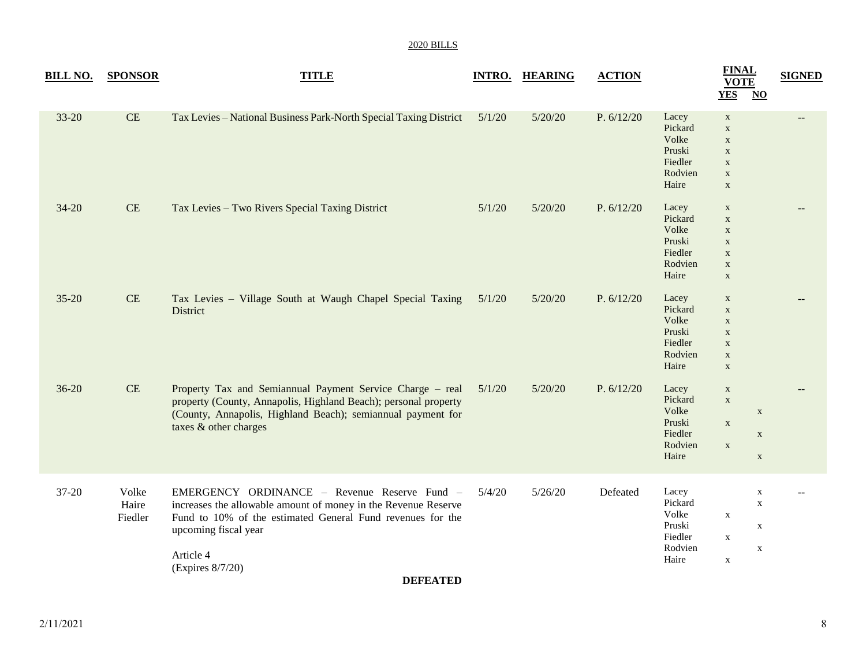| 2020 BILL |  |
|-----------|--|
|           |  |

| <b>BILL NO.</b> | <b>SPONSOR</b>            | <b>TITLE</b>                                                                                                                                                                                                                          |        | <b>INTRO. HEARING</b> | <b>ACTION</b> |                                                                    | <b>FINAL</b><br><b>VOTE</b><br><b>YES</b><br>$\underline{\mathbf{NO}}$                                | <b>SIGNED</b> |
|-----------------|---------------------------|---------------------------------------------------------------------------------------------------------------------------------------------------------------------------------------------------------------------------------------|--------|-----------------------|---------------|--------------------------------------------------------------------|-------------------------------------------------------------------------------------------------------|---------------|
| 33-20           | CE                        | Tax Levies - National Business Park-North Special Taxing District                                                                                                                                                                     | 5/1/20 | 5/20/20               | P. $6/12/20$  | Lacey<br>Pickard<br>Volke<br>Pruski<br>Fiedler<br>Rodvien<br>Haire | $\mathbf X$<br>$\mathbf X$<br>$\mathbf X$<br>$\mathbf X$<br>$\mathbf X$<br>$\mathbf X$<br>$\mathbf X$ |               |
| $34 - 20$       | CE                        | Tax Levies - Two Rivers Special Taxing District                                                                                                                                                                                       | 5/1/20 | 5/20/20               | P. 6/12/20    | Lacey<br>Pickard<br>Volke<br>Pruski<br>Fiedler<br>Rodvien<br>Haire | $\mathbf X$<br>$\mathbf X$<br>$\mathbf X$<br>$\mathbf X$<br>$\mathbf X$<br>$\mathbf X$<br>$\mathbf X$ |               |
| $35 - 20$       | CE                        | Tax Levies - Village South at Waugh Chapel Special Taxing<br>District                                                                                                                                                                 | 5/1/20 | 5/20/20               | P. 6/12/20    | Lacey<br>Pickard<br>Volke<br>Pruski<br>Fiedler<br>Rodvien<br>Haire | $\mathbf X$<br>$\mathbf X$<br>$\mathbf X$<br>$\mathbf X$<br>$\mathbf X$<br>$\mathbf X$<br>$\mathbf X$ |               |
| $36 - 20$       | $\rm CE$                  | Property Tax and Semiannual Payment Service Charge - real<br>property (County, Annapolis, Highland Beach); personal property<br>(County, Annapolis, Highland Beach); semiannual payment for<br>taxes & other charges                  | 5/1/20 | 5/20/20               | P. $6/12/20$  | Lacey<br>Pickard<br>Volke<br>Pruski<br>Fiedler<br>Rodvien<br>Haire | $\mathbf X$<br>$\mathbf X$<br>$\mathbf X$<br>$\mathbf X$<br>$\mathbf X$<br>$\mathbf X$<br>$\mathbf X$ |               |
| 37-20           | Volke<br>Haire<br>Fiedler | EMERGENCY ORDINANCE - Revenue Reserve Fund -<br>increases the allowable amount of money in the Revenue Reserve<br>Fund to 10% of the estimated General Fund revenues for the<br>upcoming fiscal year<br>Article 4<br>(Expires 8/7/20) | 5/4/20 | 5/26/20               | Defeated      | Lacey<br>Pickard<br>Volke<br>Pruski<br>Fiedler<br>Rodvien<br>Haire | $\mathbf X$<br>$\mathbf X$<br>$\mathbf X$<br>$\mathbf X$<br>$\mathbf X$<br>$\mathbf X$<br>$\mathbf X$ |               |

**DEFEATED**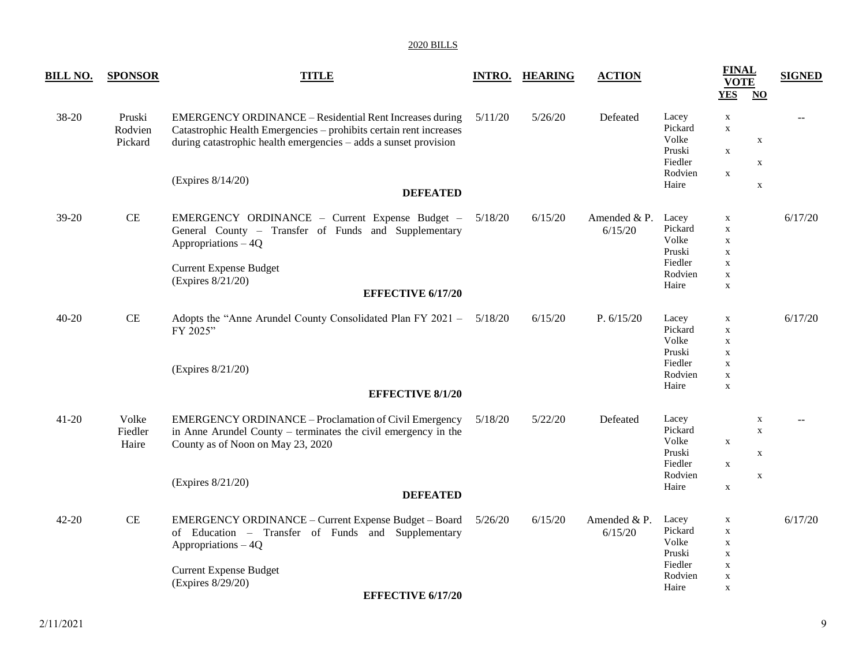| <u>BILL NO.</u> | <b>SPONSOR</b>               | <b>TITLE</b>                                                                                                                                                                                                        | <b>INTRO.</b> | <b>HEARING</b> | <b>ACTION</b>            |                                                                    | <b>FINAL</b><br><b>VOTE</b><br>YES                                                                    | $\overline{\mathbf{N}}$                        | <b>SIGNED</b> |
|-----------------|------------------------------|---------------------------------------------------------------------------------------------------------------------------------------------------------------------------------------------------------------------|---------------|----------------|--------------------------|--------------------------------------------------------------------|-------------------------------------------------------------------------------------------------------|------------------------------------------------|---------------|
| 38-20           | Pruski<br>Rodvien<br>Pickard | EMERGENCY ORDINANCE - Residential Rent Increases during<br>Catastrophic Health Emergencies - prohibits certain rent increases<br>during catastrophic health emergencies - adds a sunset provision                   | 5/11/20       | 5/26/20        | Defeated                 | Lacey<br>Pickard<br>Volke<br>Pruski<br>Fiedler<br>Rodvien          | $\mathbf X$<br>$\mathbf X$<br>$\mathbf X$<br>$\mathbf{X}$                                             | $\mathbf X$<br>X                               |               |
|                 |                              | (Expires 8/14/20)<br><b>DEFEATED</b>                                                                                                                                                                                |               |                |                          | Haire                                                              |                                                                                                       | $\mathbf X$                                    |               |
| $39-20$         | CE                           | EMERGENCY ORDINANCE - Current Expense Budget -<br>General County - Transfer of Funds and Supplementary<br>Appropriations - 4Q<br><b>Current Expense Budget</b><br>(Expires 8/21/20)<br><b>EFFECTIVE 6/17/20</b>     | 5/18/20       | 6/15/20        | Amended & P.<br>6/15/20  | Lacey<br>Pickard<br>Volke<br>Pruski<br>Fiedler<br>Rodvien<br>Haire | $\mathbf X$<br>$\mathbf X$<br>X<br>$\mathbf X$<br>$\mathbf X$<br>$\mathbf X$<br>$\mathbf X$           |                                                | 6/17/20       |
| $40 - 20$       | $\rm CE$                     | Adopts the "Anne Arundel County Consolidated Plan FY 2021 -<br>FY 2025"<br>(Expires 8/21/20)<br><b>EFFECTIVE 8/1/20</b>                                                                                             | 5/18/20       | 6/15/20        | P. $6/15/20$             | Lacey<br>Pickard<br>Volke<br>Pruski<br>Fiedler<br>Rodvien<br>Haire | $\mathbf X$<br>$\mathbf X$<br>$\mathbf X$<br>$\mathbf X$<br>$\mathbf X$<br>$\mathbf X$<br>$\mathbf X$ |                                                | 6/17/20       |
| $41 - 20$       | Volke<br>Fiedler<br>Haire    | EMERGENCY ORDINANCE - Proclamation of Civil Emergency<br>in Anne Arundel County – terminates the civil emergency in the<br>County as of Noon on May 23, 2020<br>(Expires 8/21/20)<br><b>DEFEATED</b>                | 5/18/20       | 5/22/20        | Defeated                 | Lacey<br>Pickard<br>Volke<br>Pruski<br>Fiedler<br>Rodvien<br>Haire | $\mathbf X$<br>$\mathbf X$<br>$\mathbf X$                                                             | X<br>$\mathbf X$<br>$\mathbf X$<br>$\mathbf X$ |               |
| 42-20           | $\!$ $\!$                    | EMERGENCY ORDINANCE - Current Expense Budget - Board<br>of Education – Transfer of Funds and Supplementary<br>Appropriations - 4Q<br><b>Current Expense Budget</b><br>(Expires 8/29/20)<br><b>EFFECTIVE 6/17/20</b> | 5/26/20       | 6/15/20        | Amended $&P.$<br>6/15/20 | Lacey<br>Pickard<br>Volke<br>Pruski<br>Fiedler<br>Rodvien<br>Haire | $\mathbf X$<br>$\mathbf X$<br>$\mathbf X$<br>$\mathbf X$<br>$\mathbf X$<br>$\mathbf X$<br>$\mathbf X$ |                                                | 6/17/20       |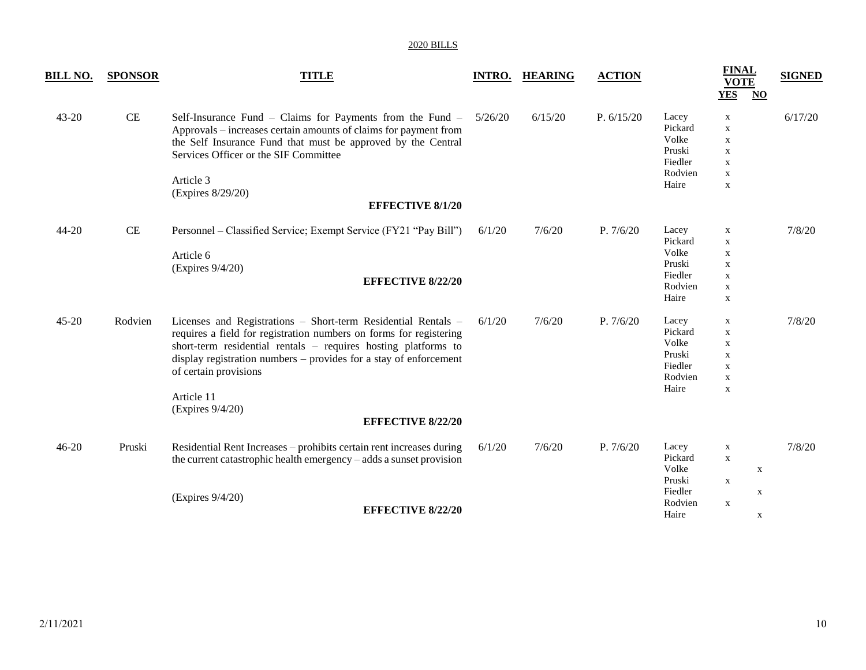| <b>BILL NO.</b> | <b>SPONSOR</b> | <b>TITLE</b>                                                                                                                                                                                                                                                                                                                                                      | <b>INTRO.</b> | <b>HEARING</b> | <b>ACTION</b> |                                                                    | <b>FINAL</b><br><b>VOTE</b><br><b>YES</b><br>$\underline{\mathbf{NO}}$                                    | <b>SIGNED</b> |
|-----------------|----------------|-------------------------------------------------------------------------------------------------------------------------------------------------------------------------------------------------------------------------------------------------------------------------------------------------------------------------------------------------------------------|---------------|----------------|---------------|--------------------------------------------------------------------|-----------------------------------------------------------------------------------------------------------|---------------|
| 43-20           | CE             | Self-Insurance Fund – Claims for Payments from the Fund –<br>Approvals – increases certain amounts of claims for payment from<br>the Self Insurance Fund that must be approved by the Central<br>Services Officer or the SIF Committee<br>Article 3<br>(Expires 8/29/20)<br><b>EFFECTIVE 8/1/20</b>                                                               | 5/26/20       | 6/15/20        | P. $6/15/20$  | Lacey<br>Pickard<br>Volke<br>Pruski<br>Fiedler<br>Rodvien<br>Haire | $\mathbf X$<br>$\mathbf X$<br>$\mathbf X$<br>$\mathbf X$<br>$\mathbf X$<br>$\mathbf X$<br>$\mathbf X$     | 6/17/20       |
| 44-20           | $\rm CE$       | Personnel – Classified Service; Exempt Service (FY21 "Pay Bill")<br>Article 6<br>(Expires 9/4/20)<br><b>EFFECTIVE 8/22/20</b>                                                                                                                                                                                                                                     | 6/1/20        | 7/6/20         | P. 7/6/20     | Lacey<br>Pickard<br>Volke<br>Pruski<br>Fiedler<br>Rodvien<br>Haire | $\mathbf X$<br>$\mathbf X$<br>$\mathbf X$<br>$\mathbf X$<br>$\mathbf X$<br>$\mathbf X$<br>X               | 7/8/20        |
| 45-20           | Rodvien        | Licenses and Registrations - Short-term Residential Rentals -<br>requires a field for registration numbers on forms for registering<br>short-term residential rentals – requires hosting platforms to<br>display registration numbers – provides for a stay of enforcement<br>of certain provisions<br>Article 11<br>(Expires 9/4/20)<br><b>EFFECTIVE 8/22/20</b> | 6/1/20        | 7/6/20         | P. 7/6/20     | Lacey<br>Pickard<br>Volke<br>Pruski<br>Fiedler<br>Rodvien<br>Haire | $\mathbf X$<br>$\mathbf X$<br>X<br>$\mathbf X$<br>$\mathbf X$<br>X<br>$\mathbf X$                         | 7/8/20        |
| $46 - 20$       | Pruski         | Residential Rent Increases - prohibits certain rent increases during<br>the current catastrophic health emergency – adds a sunset provision<br>(Expires 9/4/20)<br><b>EFFECTIVE 8/22/20</b>                                                                                                                                                                       | 6/1/20        | 7/6/20         | P. 7/6/20     | Lacey<br>Pickard<br>Volke<br>Pruski<br>Fiedler<br>Rodvien<br>Haire | $\mathbf X$<br>$\mathbf x$<br>$\boldsymbol{\mathrm{X}}$<br>$\mathbf X$<br>$\mathbf X$<br>$\mathbf x$<br>X | 7/8/20        |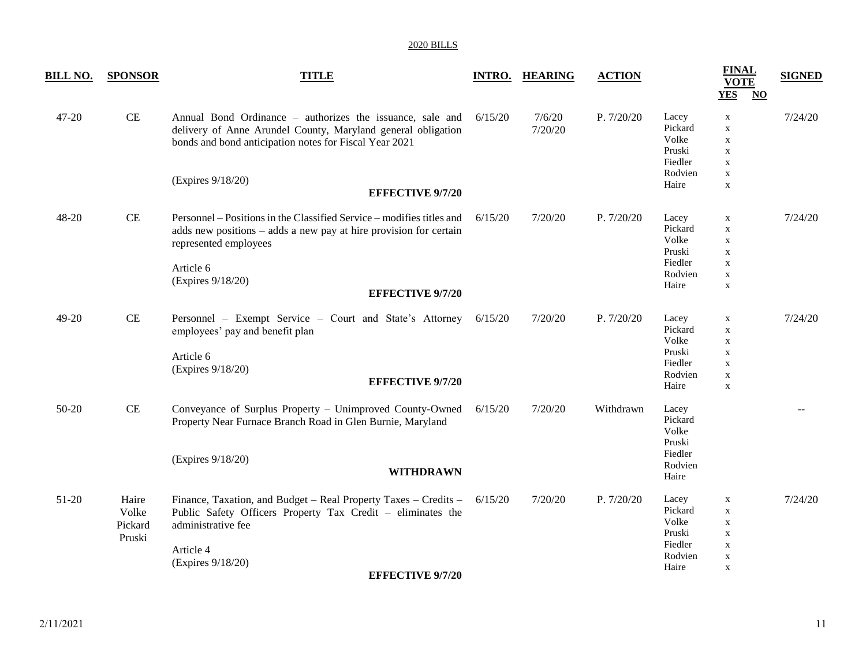| <b>BILL NO.</b> | <b>SPONSOR</b>                      | <b>TITLE</b>                                                                                                                                                                                                                     |         | <b>INTRO. HEARING</b> | <b>ACTION</b> |                                                                    | <b>FINAL</b><br><b>VOTE</b><br><b>YES</b><br>$NO$                                                     | <b>SIGNED</b> |
|-----------------|-------------------------------------|----------------------------------------------------------------------------------------------------------------------------------------------------------------------------------------------------------------------------------|---------|-----------------------|---------------|--------------------------------------------------------------------|-------------------------------------------------------------------------------------------------------|---------------|
| 47-20           | $\rm CE$                            | Annual Bond Ordinance – authorizes the issuance, sale and<br>delivery of Anne Arundel County, Maryland general obligation<br>bonds and bond anticipation notes for Fiscal Year 2021<br>(Expires 9/18/20)                         | 6/15/20 | 7/6/20<br>7/20/20     | P. 7/20/20    | Lacey<br>Pickard<br>Volke<br>Pruski<br>Fiedler<br>Rodvien          | $\mathbf X$<br>$\mathbf X$<br>$\mathbf X$<br>$\mathbf X$<br>$\mathbf X$<br>$\mathbf X$                | 7/24/20       |
|                 |                                     | <b>EFFECTIVE 9/7/20</b>                                                                                                                                                                                                          |         |                       |               | Haire                                                              | $\mathbf X$                                                                                           |               |
| 48-20           | CE                                  | Personnel – Positions in the Classified Service – modifies titles and<br>adds new positions – adds a new pay at hire provision for certain<br>represented employees<br>Article 6<br>(Expires 9/18/20)<br><b>EFFECTIVE 9/7/20</b> | 6/15/20 | 7/20/20               | P. 7/20/20    | Lacey<br>Pickard<br>Volke<br>Pruski<br>Fiedler<br>Rodvien<br>Haire | X<br>$\mathbf X$<br>$\mathbf X$<br>$\mathbf X$<br>$\mathbf X$<br>$\mathbf X$<br>$\mathbf X$           | 7/24/20       |
| 49-20           | CE                                  | Personnel - Exempt Service - Court and State's Attorney<br>employees' pay and benefit plan<br>Article 6<br>(Expires 9/18/20)<br><b>EFFECTIVE 9/7/20</b>                                                                          | 6/15/20 | 7/20/20               | P. 7/20/20    | Lacey<br>Pickard<br>Volke<br>Pruski<br>Fiedler<br>Rodvien<br>Haire | $\mathbf X$<br>$\mathbf X$<br>$\mathbf X$<br>$\mathbf X$<br>$\mathbf X$<br>$\mathbf X$<br>$\mathbf X$ | 7/24/20       |
| 50-20           | CE                                  | Conveyance of Surplus Property - Unimproved County-Owned<br>Property Near Furnace Branch Road in Glen Burnie, Maryland<br>(Expires 9/18/20)<br><b>WITHDRAWN</b>                                                                  | 6/15/20 | 7/20/20               | Withdrawn     | Lacey<br>Pickard<br>Volke<br>Pruski<br>Fiedler<br>Rodvien<br>Haire |                                                                                                       |               |
| 51-20           | Haire<br>Volke<br>Pickard<br>Pruski | Finance, Taxation, and Budget - Real Property Taxes - Credits -<br>Public Safety Officers Property Tax Credit - eliminates the<br>administrative fee<br>Article 4<br>(Expires 9/18/20)<br><b>EFFECTIVE 9/7/20</b>                | 6/15/20 | 7/20/20               | P. 7/20/20    | Lacey<br>Pickard<br>Volke<br>Pruski<br>Fiedler<br>Rodvien<br>Haire | $\mathbf X$<br>$\mathbf X$<br>$\mathbf X$<br>$\mathbf X$<br>$\mathbf X$<br>$\mathbf X$<br>$\mathbf X$ | 7/24/20       |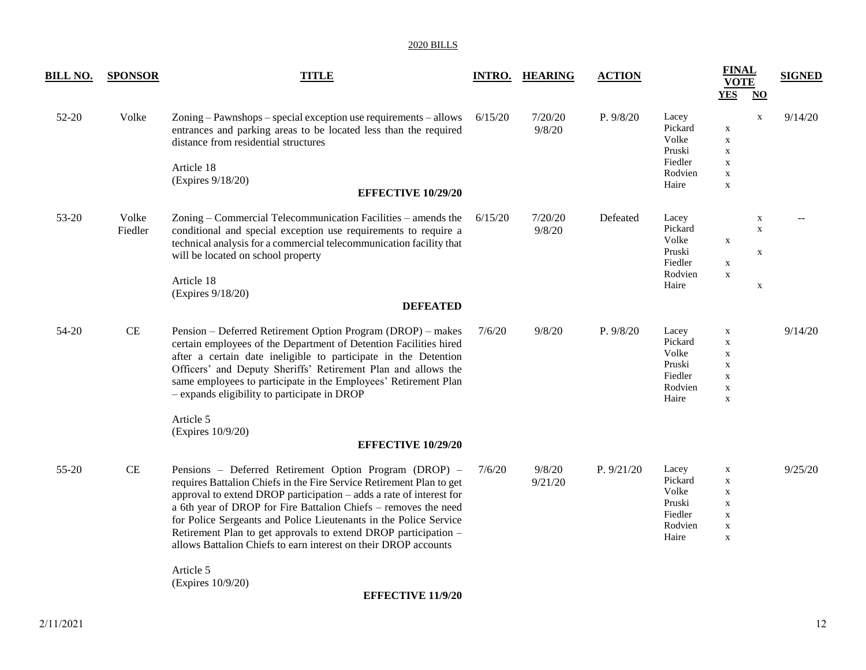| <u>BILL NO.</u> | <b>SPONSOR</b>   | <b>TITLE</b>                                                                                                                                                                                                                                                                                                                                                                                                                                                                                                          |         | <b>INTRO. HEARING</b> | <b>ACTION</b> |                                                                    | <b>FINAL</b><br><b>VOTE</b><br><b>YES</b><br>$\underline{\mathrm{NO}}$                                    | <b>SIGNED</b> |
|-----------------|------------------|-----------------------------------------------------------------------------------------------------------------------------------------------------------------------------------------------------------------------------------------------------------------------------------------------------------------------------------------------------------------------------------------------------------------------------------------------------------------------------------------------------------------------|---------|-----------------------|---------------|--------------------------------------------------------------------|-----------------------------------------------------------------------------------------------------------|---------------|
| 52-20           | Volke            | Zoning – Pawnshops – special exception use requirements – allows<br>entrances and parking areas to be located less than the required<br>distance from residential structures<br>Article 18<br>(Expires 9/18/20)<br><b>EFFECTIVE 10/29/20</b>                                                                                                                                                                                                                                                                          | 6/15/20 | 7/20/20<br>9/8/20     | P. 9/8/20     | Lacey<br>Pickard<br>Volke<br>Pruski<br>Fiedler<br>Rodvien<br>Haire | $\mathbf X$<br>$\mathbf X$<br>$\mathbf X$<br>$\mathbf X$<br>X<br>$\mathbf X$<br>$\mathbf X$               | 9/14/20       |
| 53-20           | Volke<br>Fiedler | Zoning – Commercial Telecommunication Facilities – amends the<br>conditional and special exception use requirements to require a<br>technical analysis for a commercial telecommunication facility that<br>will be located on school property<br>Article 18<br>(Expires 9/18/20)<br><b>DEFEATED</b>                                                                                                                                                                                                                   | 6/15/20 | 7/20/20<br>9/8/20     | Defeated      | Lacey<br>Pickard<br>Volke<br>Pruski<br>Fiedler<br>Rodvien<br>Haire | $\mathbf X$<br>$\boldsymbol{\mathrm{X}}$<br>$\mathbf X$<br>X<br>$\mathbf X$<br>$\mathbf X$<br>$\mathbf X$ |               |
| 54-20           | CE               | Pension – Deferred Retirement Option Program (DROP) – makes<br>certain employees of the Department of Detention Facilities hired<br>after a certain date ineligible to participate in the Detention<br>Officers' and Deputy Sheriffs' Retirement Plan and allows the<br>same employees to participate in the Employees' Retirement Plan<br>- expands eligibility to participate in DROP<br>Article 5<br>(Expires 10/9/20)<br><b>EFFECTIVE 10/29/20</b>                                                                | 7/6/20  | 9/8/20                | P. 9/8/20     | Lacey<br>Pickard<br>Volke<br>Pruski<br>Fiedler<br>Rodvien<br>Haire | $\mathbf X$<br>$\mathbf X$<br>$\mathbf X$<br>X<br>$\mathbf X$<br>$\mathbf X$<br>$\mathbf X$               | 9/14/20       |
| 55-20           | $\rm CE$         | Pensions - Deferred Retirement Option Program (DROP) -<br>requires Battalion Chiefs in the Fire Service Retirement Plan to get<br>approval to extend DROP participation - adds a rate of interest for<br>a 6th year of DROP for Fire Battalion Chiefs - removes the need<br>for Police Sergeants and Police Lieutenants in the Police Service<br>Retirement Plan to get approvals to extend DROP participation -<br>allows Battalion Chiefs to earn interest on their DROP accounts<br>Article 5<br>(Expires 10/9/20) | 7/6/20  | 9/8/20<br>9/21/20     | P. 9/21/20    | Lacey<br>Pickard<br>Volke<br>Pruski<br>Fiedler<br>Rodvien<br>Haire | $\mathbf X$<br>$\mathbf X$<br>X<br>$\mathbf X$<br>$\mathbf X$<br>$\mathbf X$<br>$\mathbf X$               | 9/25/20       |

**EFFECTIVE 11/9/20**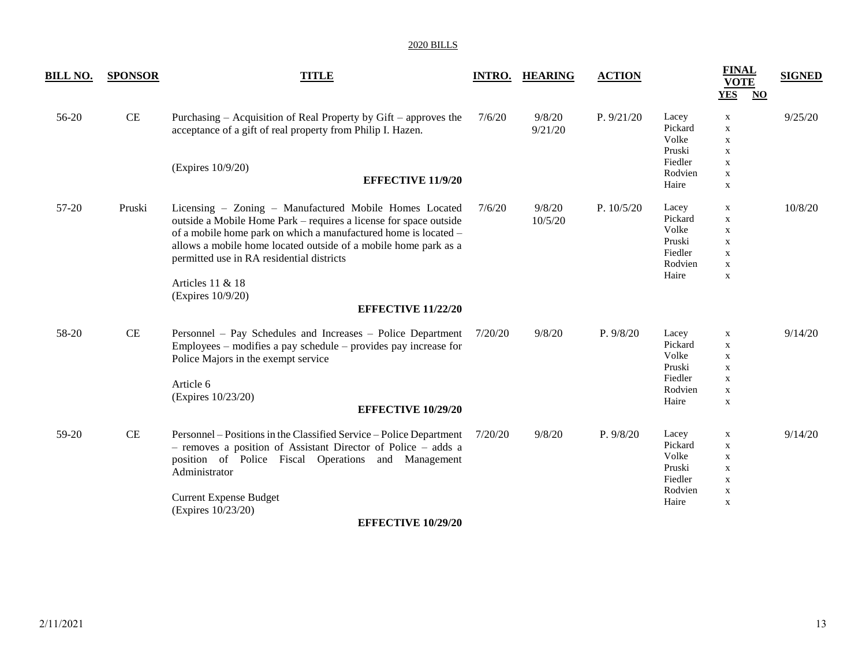| <b>BILL NO.</b> | <b>SPONSOR</b> | <b>TITLE</b>                                                                                                                                                                                                                                                                                                                                            | <b>INTRO.</b> | <b>HEARING</b>    | <b>ACTION</b> |                                                                    | <b>FINAL</b><br><b>VOTE</b><br><b>YES</b><br>$\overline{\bf NO}$                            | <b>SIGNED</b> |
|-----------------|----------------|---------------------------------------------------------------------------------------------------------------------------------------------------------------------------------------------------------------------------------------------------------------------------------------------------------------------------------------------------------|---------------|-------------------|---------------|--------------------------------------------------------------------|---------------------------------------------------------------------------------------------|---------------|
| 56-20           | $\rm CE$       | Purchasing – Acquisition of Real Property by Gift – approves the<br>acceptance of a gift of real property from Philip I. Hazen.                                                                                                                                                                                                                         | 7/6/20        | 9/8/20<br>9/21/20 | P. 9/21/20    | Lacey<br>Pickard<br>Volke<br>Pruski                                | $\mathbf X$<br>$\mathbf X$<br>$\mathbf X$<br>$\mathbf X$                                    | 9/25/20       |
|                 |                | (Expires 10/9/20)<br><b>EFFECTIVE 11/9/20</b>                                                                                                                                                                                                                                                                                                           |               |                   |               | Fiedler<br>Rodvien<br>Haire                                        | $\mathbf X$<br>$\mathbf X$<br>X                                                             |               |
| 57-20           | Pruski         | Licensing - Zoning - Manufactured Mobile Homes Located<br>outside a Mobile Home Park – requires a license for space outside<br>of a mobile home park on which a manufactured home is located -<br>allows a mobile home located outside of a mobile home park as a<br>permitted use in RA residential districts<br>Articles 11 & 18<br>(Expires 10/9/20) | 7/6/20        | 9/8/20<br>10/5/20 | P. $10/5/20$  | Lacey<br>Pickard<br>Volke<br>Pruski<br>Fiedler<br>Rodvien<br>Haire | X<br>X<br>X<br>$\mathbf X$<br>$\mathbf X$<br>$\mathbf X$<br>$\mathbf X$                     | 10/8/20       |
|                 |                | <b>EFFECTIVE 11/22/20</b>                                                                                                                                                                                                                                                                                                                               |               |                   |               |                                                                    |                                                                                             |               |
| 58-20           | $\rm CE$       | Personnel - Pay Schedules and Increases - Police Department<br>Employees $-$ modifies a pay schedule $-$ provides pay increase for<br>Police Majors in the exempt service<br>Article 6<br>(Expires 10/23/20)<br><b>EFFECTIVE 10/29/20</b>                                                                                                               | 7/20/20       | 9/8/20            | P. 9/8/20     | Lacey<br>Pickard<br>Volke<br>Pruski<br>Fiedler<br>Rodvien<br>Haire | X<br>$\mathbf X$<br>$\mathbf X$<br>$\mathbf X$<br>X<br>$\mathbf X$<br>$\mathbf X$           | 9/14/20       |
| 59-20           | $\rm CE$       | Personnel – Positions in the Classified Service – Police Department<br>- removes a position of Assistant Director of Police - adds a<br>position of Police Fiscal Operations and Management<br>Administrator<br><b>Current Expense Budget</b><br>(Expires 10/23/20)                                                                                     | 7/20/20       | 9/8/20            | P. 9/8/20     | Lacey<br>Pickard<br>Volke<br>Pruski<br>Fiedler<br>Rodvien<br>Haire | X<br>$\mathbf X$<br>$\mathbf X$<br>$\mathbf X$<br>$\mathbf X$<br>$\mathbf X$<br>$\mathbf X$ | 9/14/20       |
|                 |                | $\blacksquare$                                                                                                                                                                                                                                                                                                                                          |               |                   |               |                                                                    |                                                                                             |               |

**EFFECTIVE 10/29/20**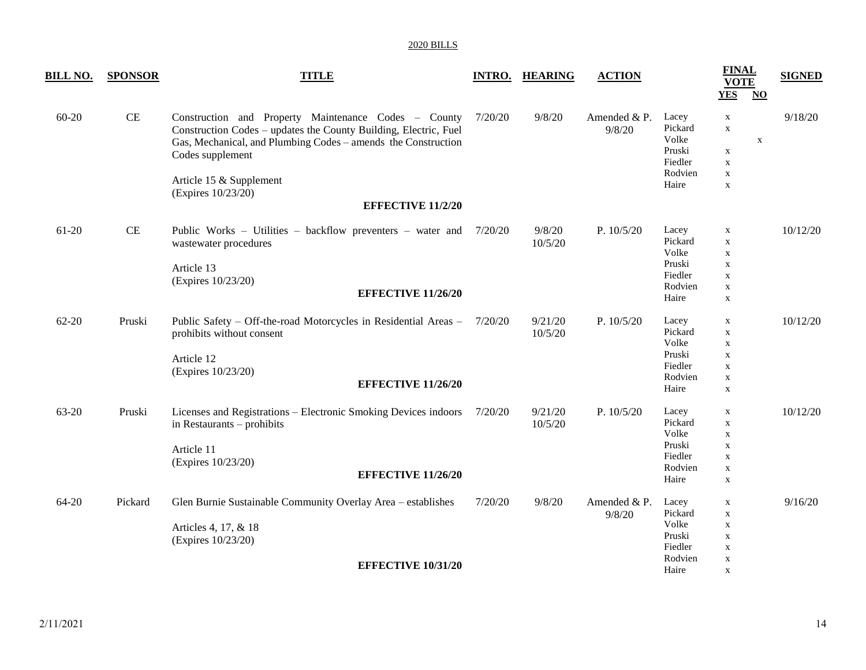| <u>BILL NO.</u> | <b>SPONSOR</b> | <b>TITLE</b>                                                                                                                                                                                                                                                                               | <b>INTRO.</b> | <b>HEARING</b>     | <b>ACTION</b>          |                                                                    | <b>FINAL</b><br><b>VOTE</b><br><b>YES</b><br>$\overline{\mathbf{N}}$                                  | <b>SIGNED</b> |
|-----------------|----------------|--------------------------------------------------------------------------------------------------------------------------------------------------------------------------------------------------------------------------------------------------------------------------------------------|---------------|--------------------|------------------------|--------------------------------------------------------------------|-------------------------------------------------------------------------------------------------------|---------------|
| 60-20           | CE             | Construction and Property Maintenance Codes - County<br>Construction Codes - updates the County Building, Electric, Fuel<br>Gas, Mechanical, and Plumbing Codes - amends the Construction<br>Codes supplement<br>Article 15 & Supplement<br>(Expires 10/23/20)<br><b>EFFECTIVE 11/2/20</b> | 7/20/20       | 9/8/20             | Amended & P.<br>9/8/20 | Lacey<br>Pickard<br>Volke<br>Pruski<br>Fiedler<br>Rodvien<br>Haire | X<br>$\mathbf X$<br>$\mathbf X$<br>$\mathbf X$<br>$\mathbf X$<br>$\mathbf X$<br>$\mathbf x$           | 9/18/20       |
| 61-20           | $\rm CE$       | Public Works – Utilities – backflow preventers – water and<br>wastewater procedures<br>Article 13<br>(Expires 10/23/20)<br><b>EFFECTIVE 11/26/20</b>                                                                                                                                       | 7/20/20       | 9/8/20<br>10/5/20  | P. $10/5/20$           | Lacey<br>Pickard<br>Volke<br>Pruski<br>Fiedler<br>Rodvien<br>Haire | X<br>$\mathbf X$<br>X<br>$\mathbf X$<br>$\mathbf X$<br>$\mathbf X$<br>$\mathbf X$                     | 10/12/20      |
| $62 - 20$       | Pruski         | Public Safety - Off-the-road Motorcycles in Residential Areas -<br>prohibits without consent<br>Article 12<br>(Expires 10/23/20)<br><b>EFFECTIVE 11/26/20</b>                                                                                                                              | 7/20/20       | 9/21/20<br>10/5/20 | P. 10/5/20             | Lacey<br>Pickard<br>Volke<br>Pruski<br>Fiedler<br>Rodvien<br>Haire | $\mathbf X$<br>$\mathbf X$<br>$\mathbf X$<br>$\mathbf X$<br>$\mathbf X$<br>$\mathbf X$<br>$\mathbf X$ | 10/12/20      |
| 63-20           | Pruski         | Licenses and Registrations - Electronic Smoking Devices indoors<br>in Restaurants - prohibits<br>Article 11<br>(Expires 10/23/20)<br><b>EFFECTIVE 11/26/20</b>                                                                                                                             | 7/20/20       | 9/21/20<br>10/5/20 | P. $10/5/20$           | Lacey<br>Pickard<br>Volke<br>Pruski<br>Fiedler<br>Rodvien<br>Haire | $\mathbf X$<br>$\mathbf X$<br>$\mathbf X$<br>$\mathbf X$<br>$\mathbf X$<br>$\mathbf X$<br>$\mathbf X$ | 10/12/20      |
| 64-20           | Pickard        | Glen Burnie Sustainable Community Overlay Area - establishes<br>Articles 4, 17, & 18<br>(Expires 10/23/20)<br><b>EFFECTIVE 10/31/20</b>                                                                                                                                                    | 7/20/20       | 9/8/20             | Amended & P.<br>9/8/20 | Lacey<br>Pickard<br>Volke<br>Pruski<br>Fiedler<br>Rodvien<br>Haire | $\mathbf X$<br>$\mathbf X$<br>$\mathbf X$<br>$\mathbf X$<br>$\mathbf X$<br>$\mathbf X$<br>X           | 9/16/20       |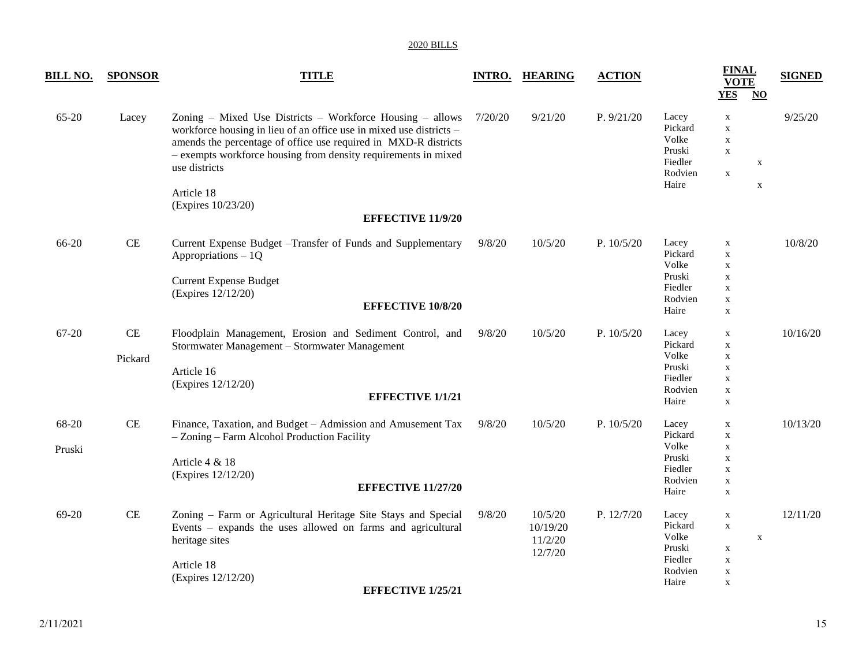| <b>BILL NO.</b> | <b>SPONSOR</b>      | <b>TITLE</b>                                                                                                                                                                                                                                                                                                                                           |         | <b>INTRO. HEARING</b>                     | <b>ACTION</b> |                                                                    | <b>FINAL</b><br><b>VOTE</b><br><b>YES</b><br>$NO$                                                     | <b>SIGNED</b> |
|-----------------|---------------------|--------------------------------------------------------------------------------------------------------------------------------------------------------------------------------------------------------------------------------------------------------------------------------------------------------------------------------------------------------|---------|-------------------------------------------|---------------|--------------------------------------------------------------------|-------------------------------------------------------------------------------------------------------|---------------|
| 65-20           | Lacey               | Zoning – Mixed Use Districts – Workforce Housing – allows<br>workforce housing in lieu of an office use in mixed use districts -<br>amends the percentage of office use required in MXD-R districts<br>- exempts workforce housing from density requirements in mixed<br>use districts<br>Article 18<br>(Expires 10/23/20)<br><b>EFFECTIVE 11/9/20</b> | 7/20/20 | 9/21/20                                   | P. 9/21/20    | Lacey<br>Pickard<br>Volke<br>Pruski<br>Fiedler<br>Rodvien<br>Haire | X<br>$\mathbf X$<br>$\mathbf X$<br>$\mathbf X$<br>$\mathbf X$<br>$\mathbf X$<br>$\mathbf X$           | 9/25/20       |
| 66-20           | CE                  | Current Expense Budget - Transfer of Funds and Supplementary<br>Appropriations $-1Q$<br><b>Current Expense Budget</b><br>(Expires 12/12/20)<br><b>EFFECTIVE 10/8/20</b>                                                                                                                                                                                | 9/8/20  | 10/5/20                                   | P. $10/5/20$  | Lacey<br>Pickard<br>Volke<br>Pruski<br>Fiedler<br>Rodvien<br>Haire | $\mathbf X$<br>$\mathbf X$<br>$\mathbf X$<br>$\mathbf X$<br>$\mathbf X$<br>$\mathbf X$<br>$\mathbf X$ | 10/8/20       |
| 67-20           | $\rm CE$<br>Pickard | Floodplain Management, Erosion and Sediment Control, and<br>Stormwater Management - Stormwater Management<br>Article 16<br>(Expires 12/12/20)<br><b>EFFECTIVE 1/1/21</b>                                                                                                                                                                               | 9/8/20  | 10/5/20                                   | P. $10/5/20$  | Lacey<br>Pickard<br>Volke<br>Pruski<br>Fiedler<br>Rodvien<br>Haire | X<br>$\mathbf X$<br>$\mathbf X$<br>$\mathbf X$<br>$\mathbf X$<br>$\mathbf X$<br>$\mathbf X$           | 10/16/20      |
| 68-20<br>Pruski | CE                  | Finance, Taxation, and Budget - Admission and Amusement Tax<br>- Zoning - Farm Alcohol Production Facility<br>Article 4 & 18<br>(Expires 12/12/20)<br><b>EFFECTIVE 11/27/20</b>                                                                                                                                                                        | 9/8/20  | 10/5/20                                   | P. $10/5/20$  | Lacey<br>Pickard<br>Volke<br>Pruski<br>Fiedler<br>Rodvien<br>Haire | $\mathbf X$<br>$\mathbf X$<br>$\mathbf X$<br>$\mathbf X$<br>$\mathbf X$<br>$\mathbf X$<br>$\mathbf X$ | 10/13/20      |
| 69-20           | $\rm CE$            | Zoning - Farm or Agricultural Heritage Site Stays and Special<br>Events – expands the uses allowed on farms and agricultural<br>heritage sites<br>Article 18<br>(Expires 12/12/20)<br><b>EFFECTIVE 1/25/21</b>                                                                                                                                         | 9/8/20  | 10/5/20<br>10/19/20<br>11/2/20<br>12/7/20 | P. 12/7/20    | Lacey<br>Pickard<br>Volke<br>Pruski<br>Fiedler<br>Rodvien<br>Haire | X<br>$\mathbf X$<br>$\mathbf X$<br>$\mathbf X$<br>$\mathbf X$<br>X<br>$\mathbf X$                     | 12/11/20      |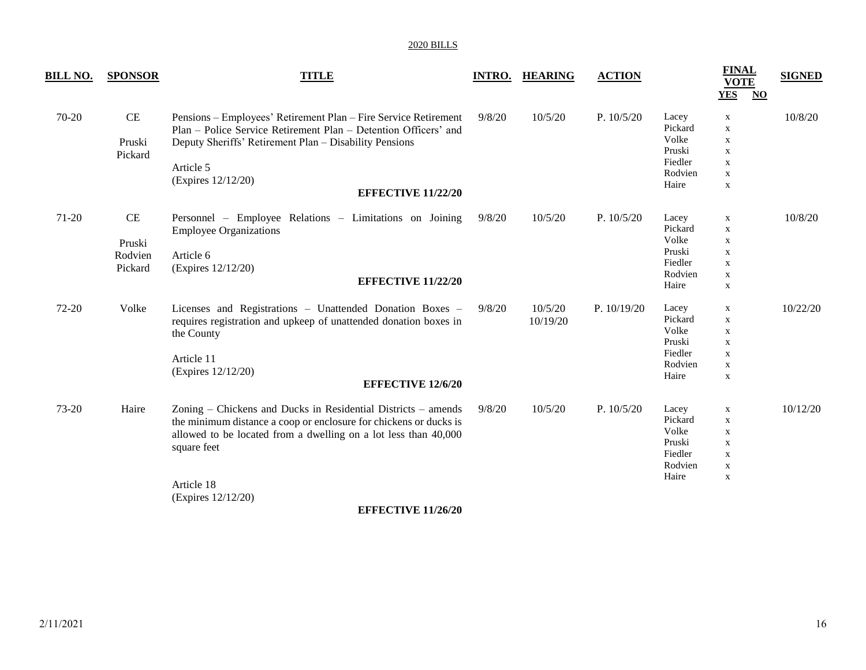| <u>BILL NO.</u> | <b>SPONSOR</b>                     | <b>TITLE</b>                                                                                                                                                                                                                                                               | <b>INTRO.</b> | <b>HEARING</b>      | <b>ACTION</b> |                                                                    | <b>FINAL</b><br><b>VOTE</b><br><b>YES</b>                                                             | <b>SIGNED</b><br>$\overline{\text{NO}}$ |
|-----------------|------------------------------------|----------------------------------------------------------------------------------------------------------------------------------------------------------------------------------------------------------------------------------------------------------------------------|---------------|---------------------|---------------|--------------------------------------------------------------------|-------------------------------------------------------------------------------------------------------|-----------------------------------------|
| 70-20           | CE<br>Pruski<br>Pickard            | Pensions - Employees' Retirement Plan - Fire Service Retirement<br>Plan – Police Service Retirement Plan – Detention Officers' and<br>Deputy Sheriffs' Retirement Plan - Disability Pensions<br>Article 5<br>(Expires 12/12/20)<br><b>EFFECTIVE 11/22/20</b>               | 9/8/20        | 10/5/20             | P. 10/5/20    | Lacey<br>Pickard<br>Volke<br>Pruski<br>Fiedler<br>Rodvien<br>Haire | $\mathbf X$<br>$\mathbf X$<br>$\mathbf X$<br>$\mathbf X$<br>$\mathbf X$<br>$\mathbf X$<br>$\mathbf X$ | 10/8/20                                 |
| 71-20           | CE<br>Pruski<br>Rodvien<br>Pickard | Personnel – Employee Relations – Limitations on Joining<br><b>Employee Organizations</b><br>Article 6<br>(Expires 12/12/20)<br><b>EFFECTIVE 11/22/20</b>                                                                                                                   | 9/8/20        | 10/5/20             | P. 10/5/20    | Lacey<br>Pickard<br>Volke<br>Pruski<br>Fiedler<br>Rodvien<br>Haire | $\mathbf X$<br>X<br>$\mathbf X$<br>X<br>X<br>$\mathbf X$<br>$\mathbf X$                               | 10/8/20                                 |
| 72-20           | Volke                              | Licenses and Registrations - Unattended Donation Boxes -<br>requires registration and upkeep of unattended donation boxes in<br>the County<br>Article 11<br>(Expires 12/12/20)<br><b>EFFECTIVE 12/6/20</b>                                                                 | 9/8/20        | 10/5/20<br>10/19/20 | P. $10/19/20$ | Lacey<br>Pickard<br>Volke<br>Pruski<br>Fiedler<br>Rodvien<br>Haire | $\mathbf X$<br>$\mathbf X$<br>$\mathbf X$<br>$\mathbf X$<br>$\mathbf X$<br>$\mathbf X$<br>$\mathbf X$ | 10/22/20                                |
| 73-20           | Haire                              | Zoning – Chickens and Ducks in Residential Districts – amends<br>the minimum distance a coop or enclosure for chickens or ducks is<br>allowed to be located from a dwelling on a lot less than 40,000<br>square feet<br>Article 18<br>(Expires 12/12/20)<br>$\blacksquare$ | 9/8/20        | 10/5/20             | P. $10/5/20$  | Lacey<br>Pickard<br>Volke<br>Pruski<br>Fiedler<br>Rodvien<br>Haire | $\mathbf X$<br>$\mathbf X$<br>$\mathbf X$<br>$\mathbf X$<br>$\mathbf X$<br>$\mathbf X$<br>X           | 10/12/20                                |

**EFFECTIVE 11/26/20**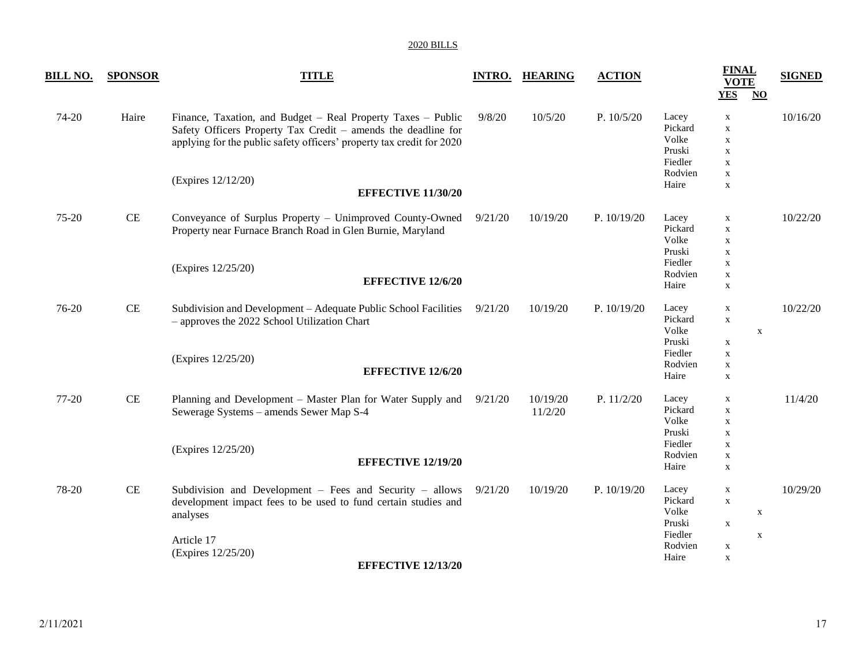| BILL NO. | <b>SPONSOR</b> | <b>TITLE</b>                                                                                                                                                                                           |         | <b>INTRO. HEARING</b> | <b>ACTION</b> |                                                | <b>FINAL</b><br><b>VOTE</b><br><b>YES</b><br>$\overline{\text{NO}}$     | <b>SIGNED</b> |
|----------|----------------|--------------------------------------------------------------------------------------------------------------------------------------------------------------------------------------------------------|---------|-----------------------|---------------|------------------------------------------------|-------------------------------------------------------------------------|---------------|
| 74-20    | Haire          | Finance, Taxation, and Budget - Real Property Taxes - Public<br>Safety Officers Property Tax Credit - amends the deadline for<br>applying for the public safety officers' property tax credit for 2020 | 9/8/20  | 10/5/20               | P. $10/5/20$  | Lacey<br>Pickard<br>Volke<br>Pruski<br>Fiedler | $\mathbf X$<br>$\mathbf X$<br>$\mathbf X$<br>$\mathbf X$<br>$\mathbf X$ | 10/16/20      |
|          |                | (Expires 12/12/20)<br><b>EFFECTIVE 11/30/20</b>                                                                                                                                                        |         |                       |               | Rodvien<br>Haire                               | $\mathbf X$<br>$\mathbf X$                                              |               |
| 75-20    | $\!$ $\!$ $\!$ | Conveyance of Surplus Property - Unimproved County-Owned<br>Property near Furnace Branch Road in Glen Burnie, Maryland                                                                                 | 9/21/20 | 10/19/20              | P. 10/19/20   | Lacey<br>Pickard<br>Volke<br>Pruski            | $\mathbf X$<br>$\mathbf X$<br>$\mathbf X$<br>$\mathbf X$                | 10/22/20      |
|          |                | (Expires 12/25/20)<br><b>EFFECTIVE 12/6/20</b>                                                                                                                                                         |         |                       |               | Fiedler<br>Rodvien<br>Haire                    | $\mathbf X$<br>$\mathbf X$<br>$\mathbf X$                               |               |
| 76-20    | CE             | Subdivision and Development - Adequate Public School Facilities<br>- approves the 2022 School Utilization Chart                                                                                        | 9/21/20 | 10/19/20              | P. 10/19/20   | Lacey<br>Pickard<br>Volke<br>Pruski            | $\mathbf X$<br>$\mathbf X$<br>$\mathbf X$                               | 10/22/20      |
|          |                | (Expires 12/25/20)<br><b>EFFECTIVE 12/6/20</b>                                                                                                                                                         |         |                       |               | Fiedler<br>Rodvien<br>Haire                    | $\mathbf X$<br>$\mathbf X$<br>$\mathbf X$<br>$\mathbf X$                |               |
| 77-20    | $\!$ $\!$ $\!$ | Planning and Development – Master Plan for Water Supply and<br>Sewerage Systems - amends Sewer Map S-4                                                                                                 | 9/21/20 | 10/19/20<br>11/2/20   | P. 11/2/20    | Lacey<br>Pickard<br>Volke<br>Pruski            | $\mathbf X$<br>$\mathbf X$<br>$\mathbf X$<br>$\mathbf X$                | 11/4/20       |
|          |                | (Expires 12/25/20)<br><b>EFFECTIVE 12/19/20</b>                                                                                                                                                        |         |                       |               | Fiedler<br>Rodvien<br>Haire                    | $\mathbf X$<br>$\mathbf X$<br>$\mathbf X$                               |               |
| 78-20    | CE             | Subdivision and Development $-$ Fees and Security $-$ allows<br>development impact fees to be used to fund certain studies and<br>analyses                                                             | 9/21/20 | 10/19/20              | P. 10/19/20   | Lacey<br>Pickard<br>Volke<br>Pruski            | $\mathbf X$<br>$\mathbf X$<br>$\mathbf X$<br>$\mathbf X$                | 10/29/20      |
|          |                | Article 17<br>(Expires 12/25/20)<br><b>EFFECTIVE 12/13/20</b>                                                                                                                                          |         |                       |               | Fiedler<br>Rodvien<br>Haire                    | $\mathbf X$<br>$\mathbf X$<br>$\mathbf X$                               |               |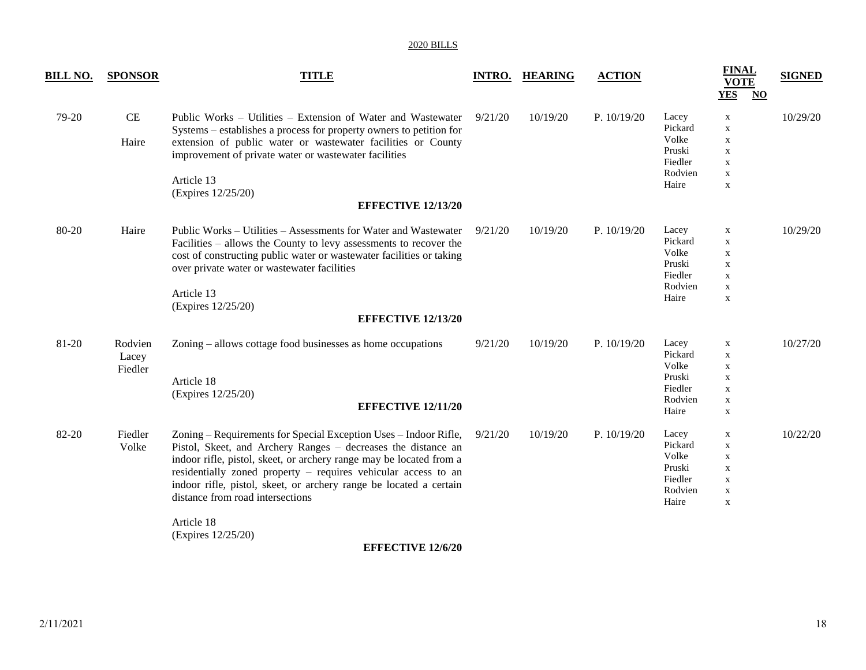| <b>BILL NO.</b> | <b>SPONSOR</b>              | <b>TITLE</b>                                                                                                                                                                                                                                                                                                                                                                                                                                         |         | <b>INTRO. HEARING</b> | <b>ACTION</b> |                                                                    | <b>FINAL</b><br><b>VOTE</b><br><b>YES</b><br>$\overline{\mathbf{N}}$                                  | <b>SIGNED</b> |
|-----------------|-----------------------------|------------------------------------------------------------------------------------------------------------------------------------------------------------------------------------------------------------------------------------------------------------------------------------------------------------------------------------------------------------------------------------------------------------------------------------------------------|---------|-----------------------|---------------|--------------------------------------------------------------------|-------------------------------------------------------------------------------------------------------|---------------|
| 79-20           | $\rm CE$<br>Haire           | Public Works - Utilities - Extension of Water and Wastewater<br>Systems – establishes a process for property owners to petition for<br>extension of public water or wastewater facilities or County<br>improvement of private water or wastewater facilities<br>Article 13<br>(Expires 12/25/20)<br><b>EFFECTIVE 12/13/20</b>                                                                                                                        | 9/21/20 | 10/19/20              | P. $10/19/20$ | Lacey<br>Pickard<br>Volke<br>Pruski<br>Fiedler<br>Rodvien<br>Haire | X<br>$\mathbf X$<br>X<br>$\mathbf X$<br>$\mathbf X$<br>$\mathbf X$<br>X                               | 10/29/20      |
| 80-20           | Haire                       | Public Works – Utilities – Assessments for Water and Wastewater<br>Facilities – allows the County to levy assessments to recover the<br>cost of constructing public water or wastewater facilities or taking<br>over private water or wastewater facilities<br>Article 13<br>(Expires 12/25/20)<br><b>EFFECTIVE 12/13/20</b>                                                                                                                         | 9/21/20 | 10/19/20              | P. $10/19/20$ | Lacey<br>Pickard<br>Volke<br>Pruski<br>Fiedler<br>Rodvien<br>Haire | X<br>$\mathbf X$<br>$\mathbf X$<br>$\mathbf X$<br>$\mathbf X$<br>$\mathbf X$<br>$\mathbf X$           | 10/29/20      |
| 81-20           | Rodvien<br>Lacey<br>Fiedler | Zoning – allows cottage food businesses as home occupations<br>Article 18<br>(Expires 12/25/20)<br><b>EFFECTIVE 12/11/20</b>                                                                                                                                                                                                                                                                                                                         | 9/21/20 | 10/19/20              | P. 10/19/20   | Lacey<br>Pickard<br>Volke<br>Pruski<br>Fiedler<br>Rodvien<br>Haire | $\mathbf X$<br>$\mathbf X$<br>$\mathbf X$<br>$\mathbf X$<br>$\mathbf X$<br>$\mathbf X$<br>$\mathbf X$ | 10/27/20      |
| 82-20           | Fiedler<br>Volke            | Zoning – Requirements for Special Exception Uses – Indoor Rifle,<br>Pistol, Skeet, and Archery Ranges - decreases the distance an<br>indoor rifle, pistol, skeet, or archery range may be located from a<br>residentially zoned property – requires vehicular access to an<br>indoor rifle, pistol, skeet, or archery range be located a certain<br>distance from road intersections<br>Article 18<br>(Expires 12/25/20)<br><b>EFFECTIVE 12/6/20</b> | 9/21/20 | 10/19/20              | P. 10/19/20   | Lacey<br>Pickard<br>Volke<br>Pruski<br>Fiedler<br>Rodvien<br>Haire | $\mathbf X$<br>$\mathbf X$<br>$\mathbf X$<br>X<br>$\mathbf X$<br>$\mathbf X$<br>$\mathbf X$           | 10/22/20      |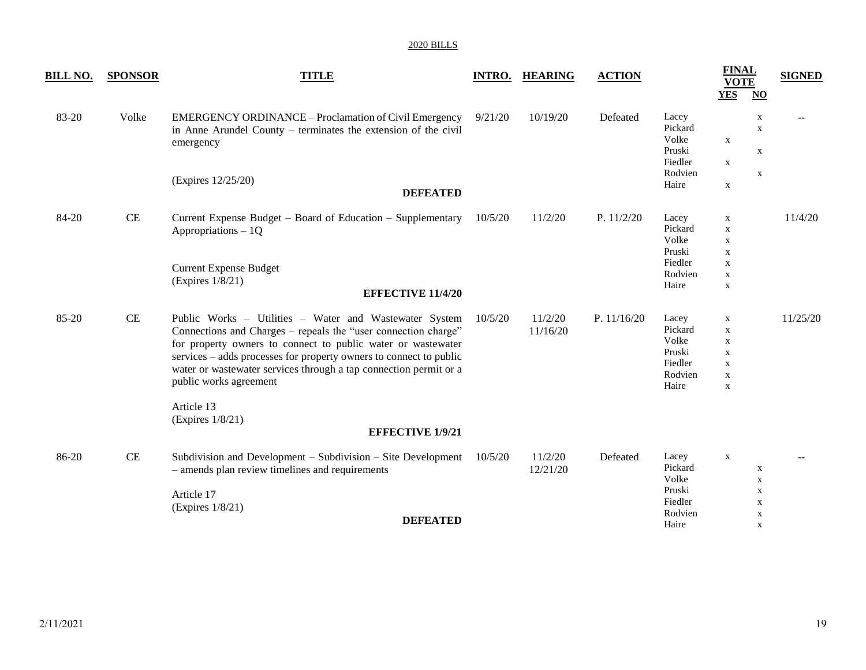| <b>BILL NO.</b> | <b>SPONSOR</b> | <b>TITLE</b>                                                                                                                                                                                                                                                                                                                                                  |         | <b>INTRO. HEARING</b> | <b>ACTION</b> |                                                                    | <b>FINAL</b><br><b>VOTE</b><br><b>YES</b>                                                   | $\overline{\textbf{N}}\textbf{O}$              | <b>SIGNED</b> |
|-----------------|----------------|---------------------------------------------------------------------------------------------------------------------------------------------------------------------------------------------------------------------------------------------------------------------------------------------------------------------------------------------------------------|---------|-----------------------|---------------|--------------------------------------------------------------------|---------------------------------------------------------------------------------------------|------------------------------------------------|---------------|
| 83-20           | Volke          | <b>EMERGENCY ORDINANCE - Proclamation of Civil Emergency</b><br>in Anne Arundel County – terminates the extension of the civil<br>emergency<br>(Expires 12/25/20)                                                                                                                                                                                             | 9/21/20 | 10/19/20              | Defeated      | Lacey<br>Pickard<br>Volke<br>Pruski<br>Fiedler<br>Rodvien          | $\mathbf X$<br>$\mathbf X$                                                                  | X<br>$\mathbf X$<br>$\mathbf X$<br>$\mathbf X$ | --            |
|                 |                | <b>DEFEATED</b>                                                                                                                                                                                                                                                                                                                                               |         |                       |               | Haire                                                              | $\mathbf X$                                                                                 |                                                |               |
| 84-20           | $\!$ $\!$ $\!$ | Current Expense Budget – Board of Education – Supplementary<br>Appropriations $-1Q$                                                                                                                                                                                                                                                                           | 10/5/20 | 11/2/20               | P. $11/2/20$  | Lacey<br>Pickard<br>Volke<br>Pruski                                | $\mathbf X$<br>$\mathbf X$<br>$\mathbf X$<br>$\mathbf X$                                    |                                                | 11/4/20       |
|                 |                | <b>Current Expense Budget</b><br>(Expires 1/8/21)<br><b>EFFECTIVE 11/4/20</b>                                                                                                                                                                                                                                                                                 |         |                       |               | Fiedler<br>Rodvien<br>Haire                                        | $\mathbf X$<br>$\mathbf X$<br>$\mathbf X$                                                   |                                                |               |
| 85-20           | CE             | Public Works - Utilities - Water and Wastewater System<br>Connections and Charges – repeals the "user connection charge"<br>for property owners to connect to public water or wastewater<br>services - adds processes for property owners to connect to public<br>water or wastewater services through a tap connection permit or a<br>public works agreement | 10/5/20 | 11/2/20<br>11/16/20   | P. 11/16/20   | Lacey<br>Pickard<br>Volke<br>Pruski<br>Fiedler<br>Rodvien<br>Haire | $\mathbf X$<br>X<br>$\mathbf X$<br>$\mathbf X$<br>$\mathbf X$<br>$\mathbf X$<br>$\mathbf X$ |                                                | 11/25/20      |
|                 |                | Article 13<br>(Expires 1/8/21)<br><b>EFFECTIVE 1/9/21</b>                                                                                                                                                                                                                                                                                                     |         |                       |               |                                                                    |                                                                                             |                                                |               |
| 86-20           | CE             | Subdivision and Development – Subdivision – Site Development<br>- amends plan review timelines and requirements<br>Article 17                                                                                                                                                                                                                                 | 10/5/20 | 11/2/20<br>12/21/20   | Defeated      | Lacey<br>Pickard<br>Volke<br>Pruski<br>Fiedler                     | $\mathbf X$                                                                                 | X<br>$\mathbf X$<br>$\mathbf X$<br>X           |               |
|                 |                | (Expires 1/8/21)<br><b>DEFEATED</b>                                                                                                                                                                                                                                                                                                                           |         |                       |               | Rodvien<br>Haire                                                   |                                                                                             | $\mathbf X$<br>X                               |               |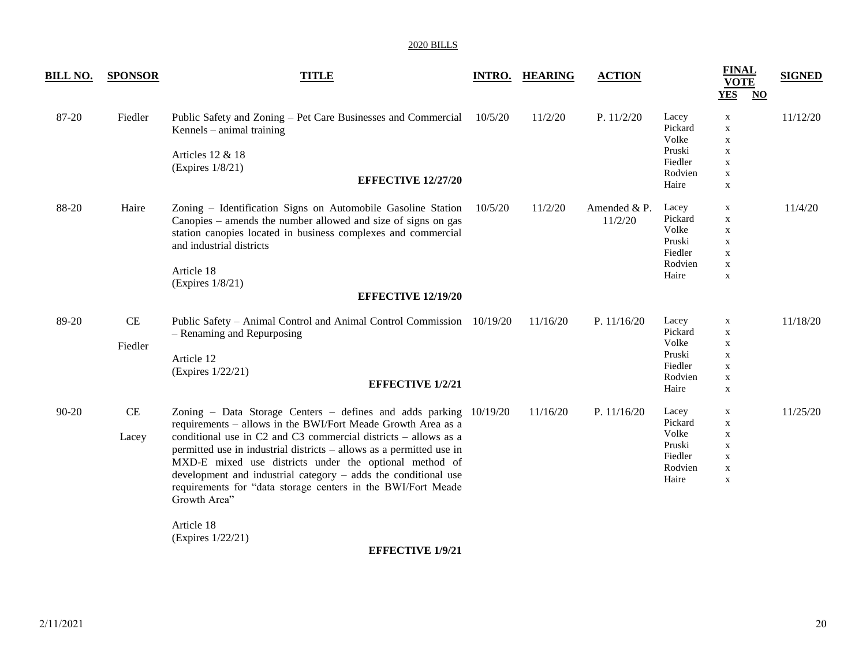| <u>BILL NO.</u> | <b>SPONSOR</b>    | <b>TITLE</b>                                                                                                                                                                                                                                                                                                                                                                                                                                                                                             |         | <b>INTRO. HEARING</b> | <b>ACTION</b>           |                                                                    | <b>FINAL</b><br><b>VOTE</b><br><b>YES</b><br>$\overline{\text{NO}}$                         | <b>SIGNED</b> |
|-----------------|-------------------|----------------------------------------------------------------------------------------------------------------------------------------------------------------------------------------------------------------------------------------------------------------------------------------------------------------------------------------------------------------------------------------------------------------------------------------------------------------------------------------------------------|---------|-----------------------|-------------------------|--------------------------------------------------------------------|---------------------------------------------------------------------------------------------|---------------|
| 87-20           | Fiedler           | Public Safety and Zoning – Pet Care Businesses and Commercial 10/5/20<br>Kennels $-$ animal training<br>Articles 12 & 18<br>(Expires 1/8/21)<br><b>EFFECTIVE 12/27/20</b>                                                                                                                                                                                                                                                                                                                                |         | 11/2/20               | P. $11/2/20$            | Lacey<br>Pickard<br>Volke<br>Pruski<br>Fiedler<br>Rodvien<br>Haire | X<br>$\mathbf X$<br>$\mathbf X$<br>$\mathbf X$<br>$\mathbf X$<br>$\mathbf X$<br>$\mathbf X$ | 11/12/20      |
| 88-20           | Haire             | Zoning - Identification Signs on Automobile Gasoline Station<br>Canopies – amends the number allowed and size of signs on gas<br>station canopies located in business complexes and commercial<br>and industrial districts<br>Article 18<br>(Expires 1/8/21)<br><b>EFFECTIVE 12/19/20</b>                                                                                                                                                                                                                | 10/5/20 | 11/2/20               | Amended & P.<br>11/2/20 | Lacey<br>Pickard<br>Volke<br>Pruski<br>Fiedler<br>Rodvien<br>Haire | X<br>X<br>X<br>$\mathbf X$<br>$\mathbf X$<br>$\mathbf X$<br>$\mathbf X$                     | 11/4/20       |
| 89-20           | CE<br>Fiedler     | Public Safety – Animal Control and Animal Control Commission 10/19/20<br>- Renaming and Repurposing<br>Article 12<br>(Expires 1/22/21)<br><b>EFFECTIVE 1/2/21</b>                                                                                                                                                                                                                                                                                                                                        |         | 11/16/20              | P. $11/16/20$           | Lacey<br>Pickard<br>Volke<br>Pruski<br>Fiedler<br>Rodvien<br>Haire | $\mathbf X$<br>$\mathbf X$<br>X<br>$\mathbf X$<br>$\mathbf X$<br>X<br>$\mathbf X$           | 11/18/20      |
| 90-20           | $\rm CE$<br>Lacey | Zoning - Data Storage Centers - defines and adds parking 10/19/20<br>requirements - allows in the BWI/Fort Meade Growth Area as a<br>conditional use in C2 and C3 commercial districts - allows as a<br>permitted use in industrial districts – allows as a permitted use in<br>MXD-E mixed use districts under the optional method of<br>development and industrial category $-$ adds the conditional use<br>requirements for "data storage centers in the BWI/Fort Meade<br>Growth Area"<br>Article 18 |         | 11/16/20              | P. $11/16/20$           | Lacey<br>Pickard<br>Volke<br>Pruski<br>Fiedler<br>Rodvien<br>Haire | X<br>X<br>$\mathbf X$<br>$\mathbf X$<br>$\mathbf X$<br>$\mathbf X$<br>$\mathbf X$           | 11/25/20      |
|                 |                   | (Expires 1/22/21)<br><b>EFFECTIVE 1/9/21</b>                                                                                                                                                                                                                                                                                                                                                                                                                                                             |         |                       |                         |                                                                    |                                                                                             |               |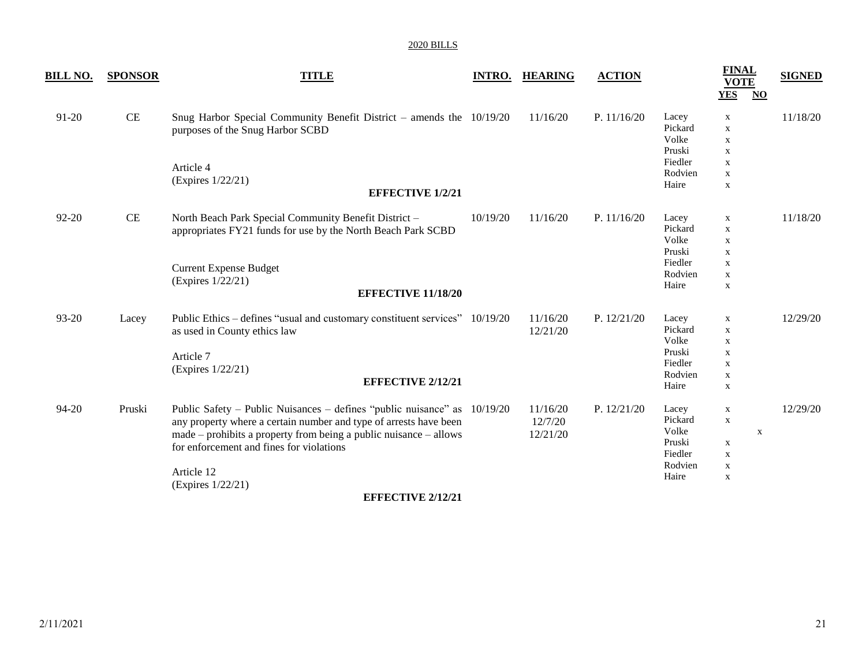| <b>TITLE</b>                                                                                                                                                                | <b>INTRO.</b>                                                         | <b>HEARING</b>                                                                                                                                                                                                                                                                                                                                                                                           | <b>ACTION</b> |                                                                    | <b>FINAL</b><br><b>VOTE</b>                                                                                          | <b>SIGNED</b>                 |
|-----------------------------------------------------------------------------------------------------------------------------------------------------------------------------|-----------------------------------------------------------------------|----------------------------------------------------------------------------------------------------------------------------------------------------------------------------------------------------------------------------------------------------------------------------------------------------------------------------------------------------------------------------------------------------------|---------------|--------------------------------------------------------------------|----------------------------------------------------------------------------------------------------------------------|-------------------------------|
| purposes of the Snug Harbor SCBD<br>Article 4<br>(Expires 1/22/21)                                                                                                          |                                                                       | 11/16/20                                                                                                                                                                                                                                                                                                                                                                                                 | P. 11/16/20   | Lacey<br>Pickard<br>Volke<br>Pruski<br>Fiedler<br>Rodvien<br>Haire | $\mathbf X$<br>$\mathbf X$<br>$\mathbf X$<br>$\mathbf X$<br>$\mathbf X$<br>$\mathbf X$<br>$\mathbf X$                | 11/18/20                      |
| North Beach Park Special Community Benefit District -<br>appropriates FY21 funds for use by the North Beach Park SCBD<br><b>Current Expense Budget</b><br>(Expires 1/22/21) | 10/19/20                                                              | 11/16/20                                                                                                                                                                                                                                                                                                                                                                                                 | P. $11/16/20$ | Lacey<br>Pickard<br>Volke<br>Pruski<br>Fiedler<br>Rodvien<br>Haire | $\mathbf X$<br>$\mathbf X$<br>$\mathbf X$<br>$\mathbf X$<br>$\mathbf X$<br>$\mathbf X$<br>$\mathbf X$                | 11/18/20                      |
| as used in County ethics law<br>Article 7<br>(Expires 1/22/21)                                                                                                              |                                                                       | 11/16/20<br>12/21/20                                                                                                                                                                                                                                                                                                                                                                                     | P. 12/21/20   | Lacey<br>Pickard<br>Volke<br>Pruski<br>Fiedler<br>Rodvien<br>Haire | $\mathbf X$<br>$\mathbf X$<br>$\mathbf{X}$<br>$\mathbf X$<br>$\mathbf X$<br>$\mathbf X$<br>$\mathbf X$               | 12/29/20                      |
| for enforcement and fines for violations<br>Article 12<br>(Expires 1/22/21)<br><b>EFFECTIVE 2/12/21</b>                                                                     |                                                                       | 11/16/20<br>12/7/20<br>12/21/20                                                                                                                                                                                                                                                                                                                                                                          | P. 12/21/20   | Lacey<br>Pickard<br>Volke<br>Pruski<br>Fiedler<br>Rodvien<br>Haire | $\mathbf X$<br>$\mathbf{x}$<br>$\boldsymbol{\mathrm{X}}$<br>$\mathbf X$<br>$\mathbf X$<br>$\mathbf X$<br>$\mathbf X$ | 12/29/20                      |
| Lacey<br>Pruski                                                                                                                                                             | <b>SPONSOR</b><br><b>EFFECTIVE 1/2/21</b><br><b>EFFECTIVE 2/12/21</b> | Snug Harbor Special Community Benefit District - amends the $10/19/20$<br><b>EFFECTIVE 11/18/20</b><br>Public Ethics – defines "usual and customary constituent services" 10/19/20<br>Public Safety – Public Nuisances – defines "public nuisance" as 10/19/20<br>any property where a certain number and type of arrests have been<br>made – prohibits a property from being a public nuisance – allows |               |                                                                    |                                                                                                                      | <b>YES</b><br>$\overline{NO}$ |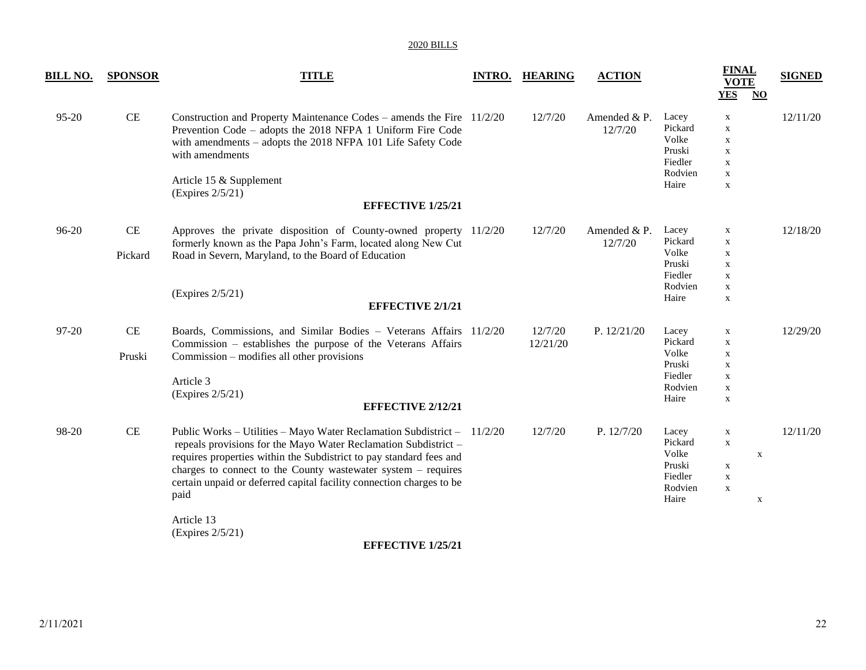| <u>BILL NO.</u> | <b>SPONSOR</b> | <b>TITLE</b>                                                                                                                                                                                                                                                                                                                                                                                                              | <b>INTRO.</b> | <b>HEARING</b>      | <b>ACTION</b>            |                                                                    | <b>FINAL</b><br><b>VOTE</b><br><b>YES</b><br>$\underline{\mathbf{NO}}$                                 | <b>SIGNED</b> |
|-----------------|----------------|---------------------------------------------------------------------------------------------------------------------------------------------------------------------------------------------------------------------------------------------------------------------------------------------------------------------------------------------------------------------------------------------------------------------------|---------------|---------------------|--------------------------|--------------------------------------------------------------------|--------------------------------------------------------------------------------------------------------|---------------|
| $95 - 20$       | CE             | Construction and Property Maintenance Codes – amends the Fire 11/2/20<br>Prevention Code – adopts the 2018 NFPA 1 Uniform Fire Code<br>with amendments - adopts the 2018 NFPA 101 Life Safety Code<br>with amendments<br>Article 15 & Supplement<br>(Express 2/5/21)<br><b>EFFECTIVE 1/25/21</b>                                                                                                                          |               | 12/7/20             | Amended $&P.$<br>12/7/20 | Lacey<br>Pickard<br>Volke<br>Pruski<br>Fiedler<br>Rodvien<br>Haire | $\mathbf{X}$<br>$\mathbf X$<br>$\mathbf X$<br>$\mathbf X$<br>$\mathbf X$<br>$\mathbf X$<br>$\mathbf X$ | 12/11/20      |
| 96-20           | CE<br>Pickard  | Approves the private disposition of County-owned property 11/2/20<br>formerly known as the Papa John's Farm, located along New Cut<br>Road in Severn, Maryland, to the Board of Education<br>(Expires $2/5/21$ )<br><b>EFFECTIVE 2/1/21</b>                                                                                                                                                                               |               | 12/7/20             | Amended $&P.$<br>12/7/20 | Lacey<br>Pickard<br>Volke<br>Pruski<br>Fiedler<br>Rodvien<br>Haire | X<br>$\mathbf X$<br>$\mathbf X$<br>$\mathbf X$<br>$\mathbf X$<br>$\mathbf X$<br>$\mathbf X$            | 12/18/20      |
| 97-20           | CE<br>Pruski   | Boards, Commissions, and Similar Bodies - Veterans Affairs 11/2/20<br>Commission – establishes the purpose of the Veterans Affairs<br>Commission – modifies all other provisions<br>Article 3<br>(Expires $2/5/21$ )<br><b>EFFECTIVE 2/12/21</b>                                                                                                                                                                          |               | 12/7/20<br>12/21/20 | P. $12/21/20$            | Lacey<br>Pickard<br>Volke<br>Pruski<br>Fiedler<br>Rodvien<br>Haire | X<br>$\mathbf X$<br>$\mathbf X$<br>X<br>$\mathbf X$<br>$\mathbf X$<br>$\mathbf X$                      | 12/29/20      |
| 98-20           | CE             | Public Works – Utilities – Mayo Water Reclamation Subdistrict – 11/2/20<br>repeals provisions for the Mayo Water Reclamation Subdistrict -<br>requires properties within the Subdistrict to pay standard fees and<br>charges to connect to the County wastewater system - requires<br>certain unpaid or deferred capital facility connection charges to be<br>paid<br>Article 13<br>(Expires 2/5/21)<br>перестіуг 1/25/21 |               | 12/7/20             | P. $12/7/20$             | Lacey<br>Pickard<br>Volke<br>Pruski<br>Fiedler<br>Rodvien<br>Haire | X<br>$\mathbf X$<br>$\mathbf X$<br>$\mathbf X$<br>$\mathbf X$<br>$\mathbf X$<br>$\mathbf X$            | 12/11/20      |

**EFFECTIVE 1/25/21**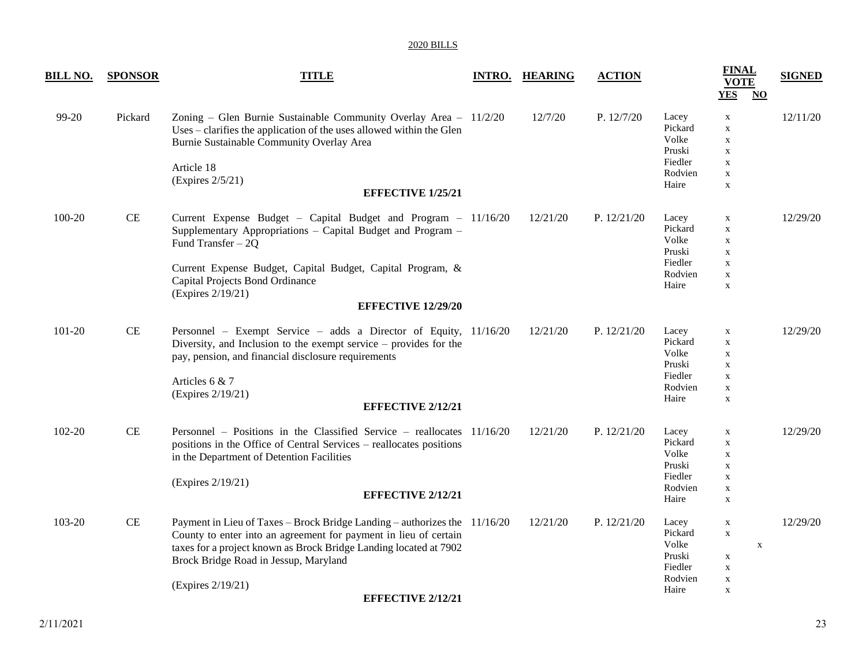| <u>BILL NO.</u> | <b>SPONSOR</b> | <b>TITLE</b>                                                                                                                                                                                                                                                                                                 | <b>INTRO. HEARING</b> | <b>ACTION</b> |                                                                    | <b>FINAL</b><br><b>VOTE</b><br><b>YES</b><br>$\overline{N}$                                           | <b>SIGNED</b> |
|-----------------|----------------|--------------------------------------------------------------------------------------------------------------------------------------------------------------------------------------------------------------------------------------------------------------------------------------------------------------|-----------------------|---------------|--------------------------------------------------------------------|-------------------------------------------------------------------------------------------------------|---------------|
| 99-20           | Pickard        | Zoning - Glen Burnie Sustainable Community Overlay Area - 11/2/20<br>Uses – clarifies the application of the uses allowed within the Glen<br>Burnie Sustainable Community Overlay Area<br>Article 18<br>(Expires 2/5/21)<br><b>EFFECTIVE 1/25/21</b>                                                         | 12/7/20               | P. 12/7/20    | Lacey<br>Pickard<br>Volke<br>Pruski<br>Fiedler<br>Rodvien<br>Haire | $\mathbf X$<br>$\mathbf X$<br>$\mathbf X$<br>$\mathbf X$<br>$\mathbf X$<br>$\mathbf X$<br>$\mathbf X$ | 12/11/20      |
| 100-20          | CE             | Current Expense Budget - Capital Budget and Program - 11/16/20<br>Supplementary Appropriations - Capital Budget and Program -<br>Fund Transfer $-2Q$<br>Current Expense Budget, Capital Budget, Capital Program, &<br>Capital Projects Bond Ordinance<br>(Expires 2/19/21)<br><b>EFFECTIVE 12/29/20</b>      | 12/21/20              | P. 12/21/20   | Lacey<br>Pickard<br>Volke<br>Pruski<br>Fiedler<br>Rodvien<br>Haire | $\mathbf X$<br>$\mathbf X$<br>$\mathbf X$<br>$\mathbf X$<br>$\mathbf X$<br>$\mathbf X$<br>$\mathbf X$ | 12/29/20      |
| 101-20          | $\!$ $\!$ $\!$ | Personnel - Exempt Service - adds a Director of Equity, 11/16/20<br>Diversity, and Inclusion to the exempt service $-$ provides for the<br>pay, pension, and financial disclosure requirements<br>Articles 6 & 7<br>(Expires 2/19/21)<br><b>EFFECTIVE 2/12/21</b>                                            | 12/21/20              | P. 12/21/20   | Lacey<br>Pickard<br>Volke<br>Pruski<br>Fiedler<br>Rodvien<br>Haire | $\mathbf X$<br>$\mathbf X$<br>$\mathbf X$<br>$\mathbf X$<br>$\mathbf X$<br>$\mathbf X$<br>$\mathbf X$ | 12/29/20      |
| 102-20          | CE             | Personnel - Positions in the Classified Service - reallocates 11/16/20<br>positions in the Office of Central Services – reallocates positions<br>in the Department of Detention Facilities<br>(Expires 2/19/21)<br><b>EFFECTIVE 2/12/21</b>                                                                  | 12/21/20              | P. 12/21/20   | Lacey<br>Pickard<br>Volke<br>Pruski<br>Fiedler<br>Rodvien<br>Haire | $\mathbf X$<br>$\mathbf X$<br>$\mathbf X$<br>$\mathbf X$<br>$\mathbf X$<br>$\mathbf X$<br>$\mathbf X$ | 12/29/20      |
| 103-20          | CE             | Payment in Lieu of Taxes - Brock Bridge Landing - authorizes the 11/16/20<br>County to enter into an agreement for payment in lieu of certain<br>taxes for a project known as Brock Bridge Landing located at 7902<br>Brock Bridge Road in Jessup, Maryland<br>(Expires 2/19/21)<br><b>EFFECTIVE 2/12/21</b> | 12/21/20              | P. 12/21/20   | Lacey<br>Pickard<br>Volke<br>Pruski<br>Fiedler<br>Rodvien<br>Haire | $\mathbf X$<br>$\mathbf X$<br>$\mathbf X$<br>$\mathbf X$<br>$\mathbf X$<br>X<br>$\mathbf X$           | 12/29/20      |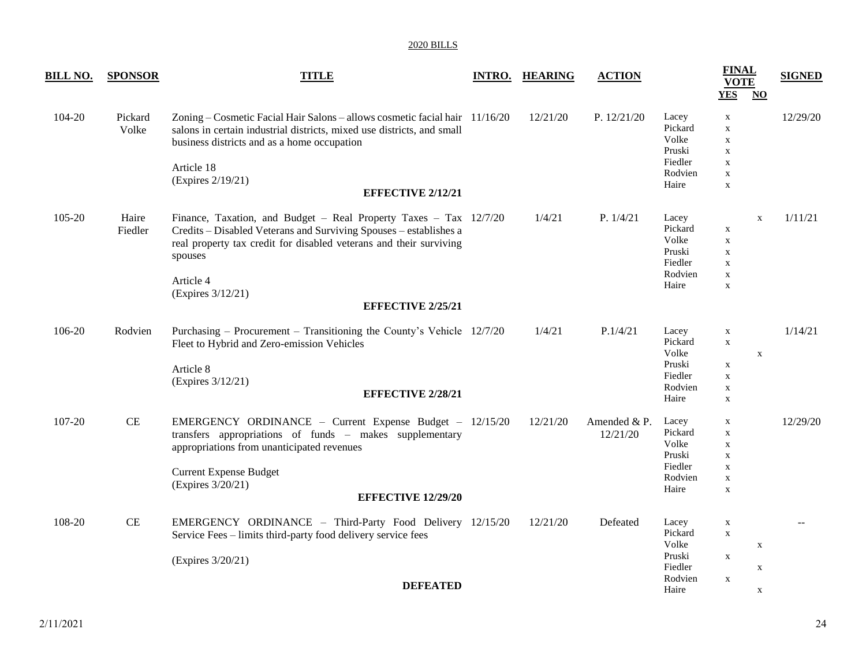| <b>BILL NO.</b> | <b>SPONSOR</b>   | <b>TITLE</b>                                                                                                                                                                                                                            | <b>INTRO. HEARING</b> | <b>ACTION</b>            |                                                                    | <b>FINAL</b><br><b>VOTE</b><br><b>YES</b><br>$\overline{N}$                                           | <b>SIGNED</b> |
|-----------------|------------------|-----------------------------------------------------------------------------------------------------------------------------------------------------------------------------------------------------------------------------------------|-----------------------|--------------------------|--------------------------------------------------------------------|-------------------------------------------------------------------------------------------------------|---------------|
| 104-20          | Pickard<br>Volke | Zoning – Cosmetic Facial Hair Salons – allows cosmetic facial hair 11/16/20<br>salons in certain industrial districts, mixed use districts, and small<br>business districts and as a home occupation<br>Article 18<br>(Expires 2/19/21) | 12/21/20              | P. 12/21/20              | Lacey<br>Pickard<br>Volke<br>Pruski<br>Fiedler<br>Rodvien<br>Haire | $\mathbf X$<br>$\mathbf X$<br>$\mathbf X$<br>$\mathbf X$<br>$\mathbf X$<br>$\mathbf X$<br>$\mathbf X$ | 12/29/20      |
|                 |                  | <b>EFFECTIVE 2/12/21</b>                                                                                                                                                                                                                |                       |                          |                                                                    |                                                                                                       |               |
| 105-20          | Haire<br>Fiedler | Finance, Taxation, and Budget - Real Property Taxes - Tax 12/7/20<br>Credits - Disabled Veterans and Surviving Spouses - establishes a<br>real property tax credit for disabled veterans and their surviving<br>spouses<br>Article 4    | 1/4/21                | P. 1/4/21                | Lacey<br>Pickard<br>Volke<br>Pruski<br>Fiedler<br>Rodvien<br>Haire | $\mathbf X$<br>$\mathbf X$<br>$\mathbf X$<br>X<br>$\mathbf X$<br>$\mathbf X$<br>$\mathbf X$           | 1/11/21       |
|                 |                  | (Expires 3/12/21)<br><b>EFFECTIVE 2/25/21</b>                                                                                                                                                                                           |                       |                          |                                                                    |                                                                                                       |               |
|                 |                  |                                                                                                                                                                                                                                         |                       |                          |                                                                    |                                                                                                       |               |
| 106-20          | Rodvien          | Purchasing – Procurement – Transitioning the County's Vehicle 12/7/20<br>Fleet to Hybrid and Zero-emission Vehicles<br>Article 8<br>(Expires 3/12/21)                                                                                   | 1/4/21                | P.1/4/21                 | Lacey<br>Pickard<br>Volke<br>Pruski<br>Fiedler<br>Rodvien          | $\mathbf X$<br>$\mathbf X$<br>$\mathbf X$<br>$\mathbf X$<br>$\mathbf X$<br>$\mathbf X$                | 1/14/21       |
|                 |                  | <b>EFFECTIVE 2/28/21</b>                                                                                                                                                                                                                |                       |                          | Haire                                                              | $\mathbf X$                                                                                           |               |
| 107-20          | CE               | EMERGENCY ORDINANCE - Current Expense Budget - 12/15/20<br>transfers appropriations of funds - makes supplementary<br>appropriations from unanticipated revenues                                                                        | 12/21/20              | Amended & P.<br>12/21/20 | Lacey<br>Pickard<br>Volke<br>Pruski                                | $\mathbf X$<br>$\mathbf X$<br>$\mathbf X$<br>$\mathbf X$                                              | 12/29/20      |
|                 |                  | <b>Current Expense Budget</b>                                                                                                                                                                                                           |                       |                          | Fiedler<br>Rodvien                                                 | $\mathbf X$<br>$\mathbf X$                                                                            |               |
|                 |                  | (Expires 3/20/21)<br><b>EFFECTIVE 12/29/20</b>                                                                                                                                                                                          |                       |                          | Haire                                                              | $\mathbf X$                                                                                           |               |
| 108-20          | $\rm CE$         | EMERGENCY ORDINANCE - Third-Party Food Delivery 12/15/20<br>Service Fees - limits third-party food delivery service fees                                                                                                                | 12/21/20              | Defeated                 | Lacey<br>Pickard<br>Volke<br>Pruski                                | $\mathbf X$<br>$\mathbf X$<br>$\mathbf X$                                                             |               |
|                 |                  | (Expires 3/20/21)                                                                                                                                                                                                                       |                       |                          | Fiedler                                                            | $\mathbf X$<br>$\mathbf X$                                                                            |               |
|                 |                  | <b>DEFEATED</b>                                                                                                                                                                                                                         |                       |                          | Rodvien<br>Haire                                                   | $\mathbf X$<br>X                                                                                      |               |